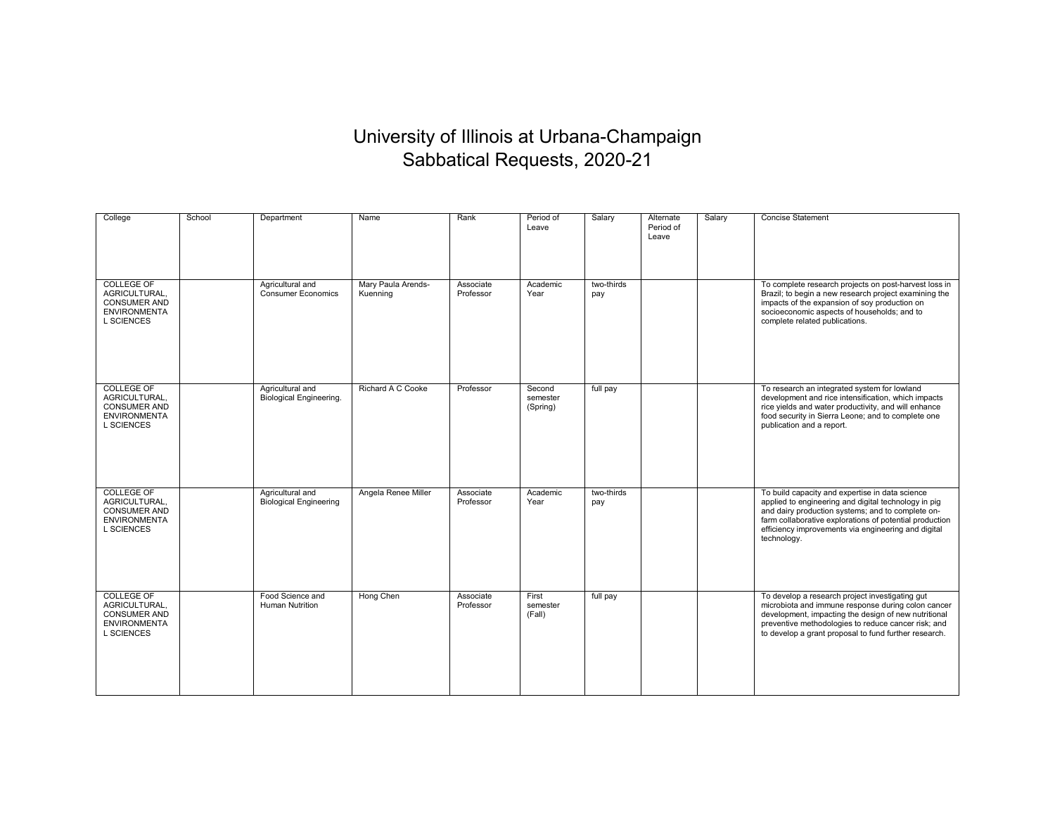## University of Illinois at Urbana-Champaign Sabbatical Requests, 2020-21

| College                                                                                               | School | Department                                        | Name                           | Rank                   | Period of<br>Leave             | Salary            | Alternate<br>Period of<br>Leave | Salary | <b>Concise Statement</b>                                                                                                                                                                                                                                                                      |
|-------------------------------------------------------------------------------------------------------|--------|---------------------------------------------------|--------------------------------|------------------------|--------------------------------|-------------------|---------------------------------|--------|-----------------------------------------------------------------------------------------------------------------------------------------------------------------------------------------------------------------------------------------------------------------------------------------------|
| <b>COLLEGE OF</b><br>AGRICULTURAL.<br><b>CONSUMER AND</b><br><b>ENVIRONMENTA</b><br><b>L SCIENCES</b> |        | Agricultural and<br><b>Consumer Economics</b>     | Mary Paula Arends-<br>Kuenning | Associate<br>Professor | Academic<br>Year               | two-thirds<br>pay |                                 |        | To complete research projects on post-harvest loss in<br>Brazil; to begin a new research project examining the<br>impacts of the expansion of soy production on<br>socioeconomic aspects of households; and to<br>complete related publications.                                              |
| <b>COLLEGE OF</b><br>AGRICULTURAL.<br><b>CONSUMER AND</b><br><b>ENVIRONMENTA</b><br><b>L SCIENCES</b> |        | Agricultural and<br>Biological Engineering.       | Richard A C Cooke              | Professor              | Second<br>semester<br>(Spring) | full pay          |                                 |        | To research an integrated system for lowland<br>development and rice intensification, which impacts<br>rice yields and water productivity, and will enhance<br>food security in Sierra Leone; and to complete one<br>publication and a report.                                                |
| <b>COLLEGE OF</b><br>AGRICULTURAL,<br><b>CONSUMER AND</b><br><b>ENVIRONMENTA</b><br><b>L SCIENCES</b> |        | Agricultural and<br><b>Biological Engineering</b> | Angela Renee Miller            | Associate<br>Professor | Academic<br>Year               | two-thirds<br>pay |                                 |        | To build capacity and expertise in data science<br>applied to engineering and digital technology in pig<br>and dairy production systems; and to complete on-<br>farm collaborative explorations of potential production<br>efficiency improvements via engineering and digital<br>technology. |
| <b>COLLEGE OF</b><br>AGRICULTURAL,<br><b>CONSUMER AND</b><br><b>ENVIRONMENTA</b><br><b>L SCIENCES</b> |        | Food Science and<br>Human Nutrition               | Hong Chen                      | Associate<br>Professor | First<br>semester<br>(Fall)    | full pay          |                                 |        | To develop a research project investigating gut<br>microbiota and immune response during colon cancer<br>development, impacting the design of new nutritional<br>preventive methodologies to reduce cancer risk; and<br>to develop a grant proposal to fund further research.                 |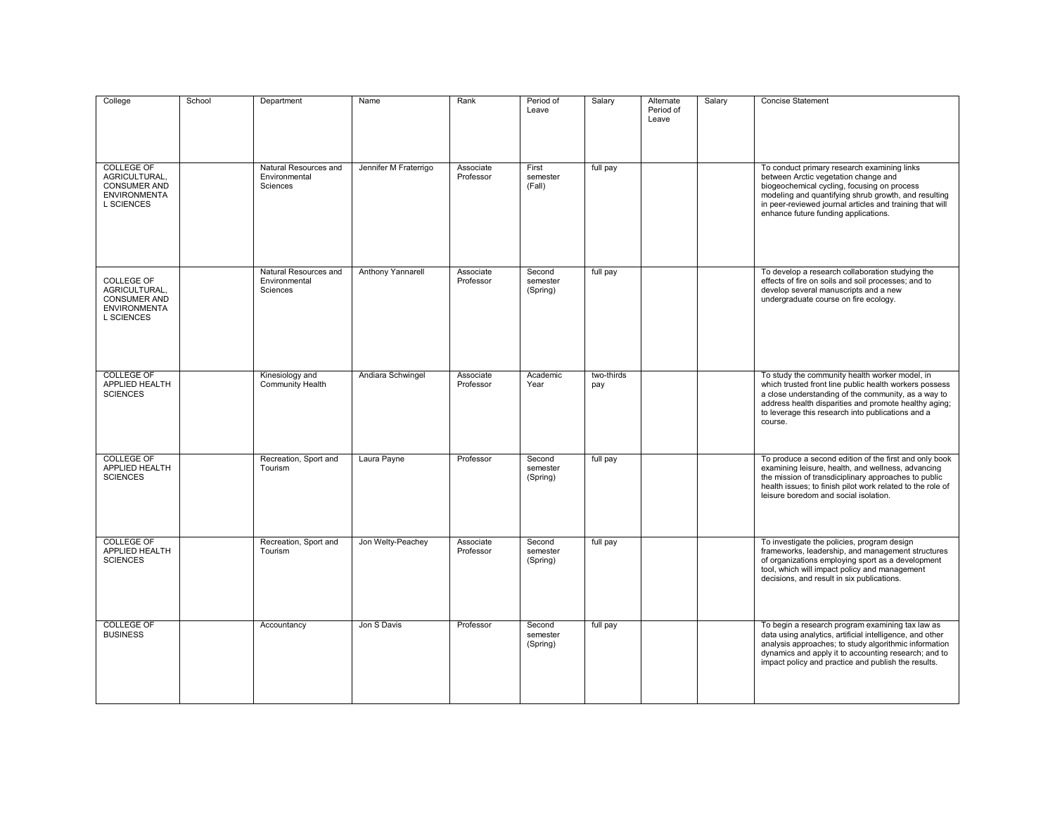| College                                                                                               | School | Department                                         | Name                  | Rank                   | Period of<br>Leave             | Salary            | Alternate<br>Period of<br>Leave | Salary | <b>Concise Statement</b>                                                                                                                                                                                                                                                                       |
|-------------------------------------------------------------------------------------------------------|--------|----------------------------------------------------|-----------------------|------------------------|--------------------------------|-------------------|---------------------------------|--------|------------------------------------------------------------------------------------------------------------------------------------------------------------------------------------------------------------------------------------------------------------------------------------------------|
| <b>COLLEGE OF</b><br>AGRICULTURAL.<br><b>CONSUMER AND</b><br><b>ENVIRONMENTA</b><br><b>L SCIENCES</b> |        | Natural Resources and<br>Environmental<br>Sciences | Jennifer M Fraterrigo | Associate<br>Professor | First<br>semester<br>(Fall)    | full pay          |                                 |        | To conduct primary research examining links<br>between Arctic vegetation change and<br>biogeochemical cycling, focusing on process<br>modeling and quantifying shrub growth, and resulting<br>in peer-reviewed journal articles and training that will<br>enhance future funding applications. |
| COLLEGE OF<br>AGRICULTURAL.<br><b>CONSUMER AND</b><br><b>ENVIRONMENTA</b><br><b>L SCIENCES</b>        |        | Natural Resources and<br>Environmental<br>Sciences | Anthony Yannarell     | Associate<br>Professor | Second<br>semester<br>(Spring) | full pay          |                                 |        | To develop a research collaboration studying the<br>effects of fire on soils and soil processes; and to<br>develop several manuscripts and a new<br>undergraduate course on fire ecology.                                                                                                      |
| <b>COLLEGE OF</b><br>APPLIED HEALTH<br><b>SCIENCES</b>                                                |        | Kinesiology and<br>Community Health                | Andiara Schwingel     | Associate<br>Professor | Academic<br>Year               | two-thirds<br>pay |                                 |        | To study the community health worker model, in<br>which trusted front line public health workers possess<br>a close understanding of the community, as a way to<br>address health disparities and promote healthy aging;<br>to leverage this research into publications and a<br>course.       |
| <b>COLLEGE OF</b><br>APPLIED HEALTH<br><b>SCIENCES</b>                                                |        | Recreation, Sport and<br>Tourism                   | Laura Payne           | Professor              | Second<br>semester<br>(Spring) | full pay          |                                 |        | To produce a second edition of the first and only book<br>examining leisure, health, and wellness, advancing<br>the mission of transdiciplinary approaches to public<br>health issues; to finish pilot work related to the role of<br>leisure boredom and social isolation.                    |
| <b>COLLEGE OF</b><br>APPLIED HEALTH<br><b>SCIENCES</b>                                                |        | Recreation, Sport and<br>Tourism                   | Jon Welty-Peachey     | Associate<br>Professor | Second<br>semester<br>(Spring) | full pay          |                                 |        | To investigate the policies, program design<br>frameworks, leadership, and management structures<br>of organizations employing sport as a development<br>tool, which will impact policy and management<br>decisions, and result in six publications.                                           |
| <b>COLLEGE OF</b><br><b>BUSINESS</b>                                                                  |        | Accountancy                                        | Jon S Davis           | Professor              | Second<br>semester<br>(Spring) | full pay          |                                 |        | To begin a research program examining tax law as<br>data using analytics, artificial intelligence, and other<br>analysis approaches; to study algorithmic information<br>dynamics and apply it to accounting research; and to<br>impact policy and practice and publish the results.           |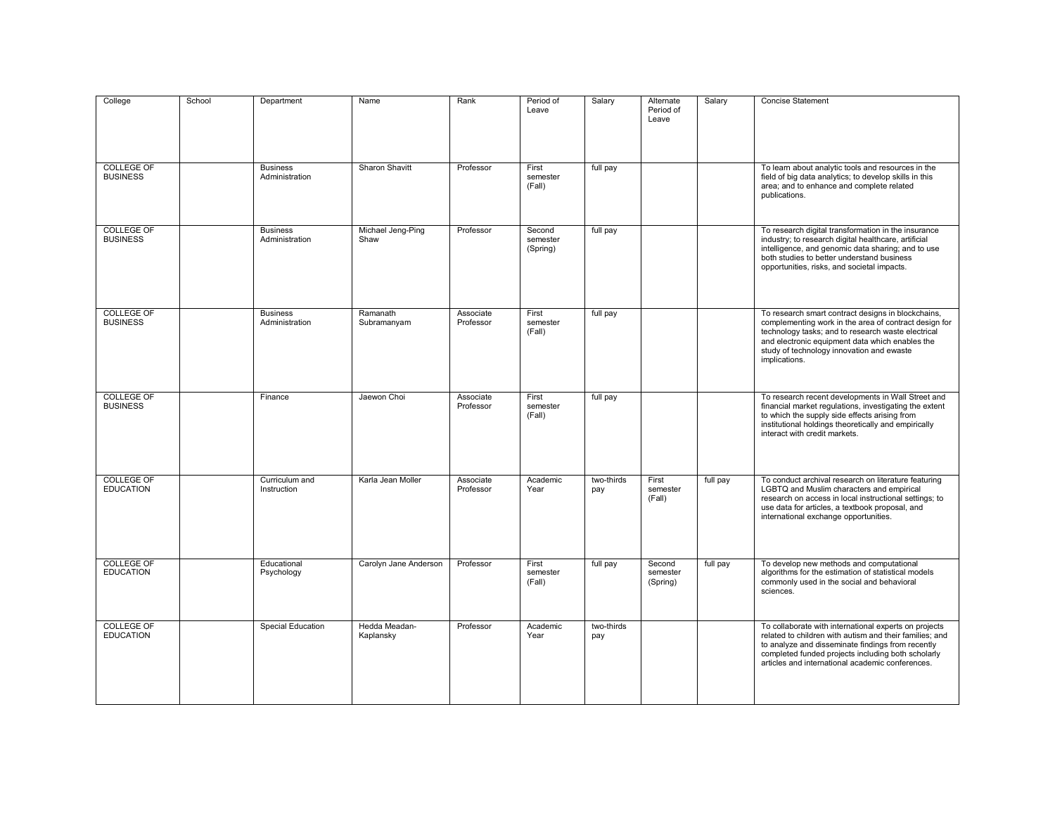| College                               | School | Department                        | Name                       | Rank                   | Period of<br>Leave             | Salary            | Alternate<br>Period of<br>Leave | Salary   | <b>Concise Statement</b>                                                                                                                                                                                                                                                           |
|---------------------------------------|--------|-----------------------------------|----------------------------|------------------------|--------------------------------|-------------------|---------------------------------|----------|------------------------------------------------------------------------------------------------------------------------------------------------------------------------------------------------------------------------------------------------------------------------------------|
| <b>COLLEGE OF</b><br><b>BUSINESS</b>  |        | <b>Business</b><br>Administration | Sharon Shavitt             | Professor              | First<br>semester<br>(Fall)    | full pay          |                                 |          | To learn about analytic tools and resources in the<br>field of big data analytics; to develop skills in this<br>area; and to enhance and complete related<br>publications.                                                                                                         |
| <b>COLLEGE OF</b><br><b>BUSINESS</b>  |        | <b>Business</b><br>Administration | Michael Jeng-Ping<br>Shaw  | Professor              | Second<br>semester<br>(Spring) | full pay          |                                 |          | To research digital transformation in the insurance<br>industry; to research digital healthcare, artificial<br>intelligence, and genomic data sharing; and to use<br>both studies to better understand business<br>opportunities, risks, and societal impacts.                     |
| <b>COLLEGE OF</b><br><b>BUSINESS</b>  |        | <b>Business</b><br>Administration | Ramanath<br>Subramanyam    | Associate<br>Professor | First<br>semester<br>(Fall)    | full pay          |                                 |          | To research smart contract designs in blockchains,<br>complementing work in the area of contract design for<br>technology tasks; and to research waste electrical<br>and electronic equipment data which enables the<br>study of technology innovation and ewaste<br>implications. |
| <b>COLLEGE OF</b><br><b>BUSINESS</b>  |        | Finance                           | Jaewon Choi                | Associate<br>Professor | First<br>semester<br>(Fall)    | full pay          |                                 |          | To research recent developments in Wall Street and<br>financial market regulations, investigating the extent<br>to which the supply side effects arising from<br>institutional holdings theoretically and empirically<br>interact with credit markets.                             |
| <b>COLLEGE OF</b><br><b>EDUCATION</b> |        | Curriculum and<br>Instruction     | Karla Jean Moller          | Associate<br>Professor | Academic<br>Year               | two-thirds<br>pay | First<br>semester<br>(Fall)     | full pay | To conduct archival research on literature featuring<br>LGBTQ and Muslim characters and empirical<br>research on access in local instructional settings; to<br>use data for articles, a textbook proposal, and<br>international exchange opportunities.                            |
| <b>COLLEGE OF</b><br><b>EDUCATION</b> |        | Educational<br>Psychology         | Carolyn Jane Anderson      | Professor              | First<br>semester<br>(Fall)    | full pay          | Second<br>semester<br>(Spring)  | full pay | To develop new methods and computational<br>algorithms for the estimation of statistical models<br>commonly used in the social and behavioral<br>sciences.                                                                                                                         |
| <b>COLLEGE OF</b><br><b>EDUCATION</b> |        | <b>Special Education</b>          | Hedda Meadan-<br>Kaplansky | Professor              | Academic<br>Year               | two-thirds<br>pay |                                 |          | To collaborate with international experts on projects<br>related to children with autism and their families: and<br>to analyze and disseminate findings from recently<br>completed funded projects including both scholarly<br>articles and international academic conferences.    |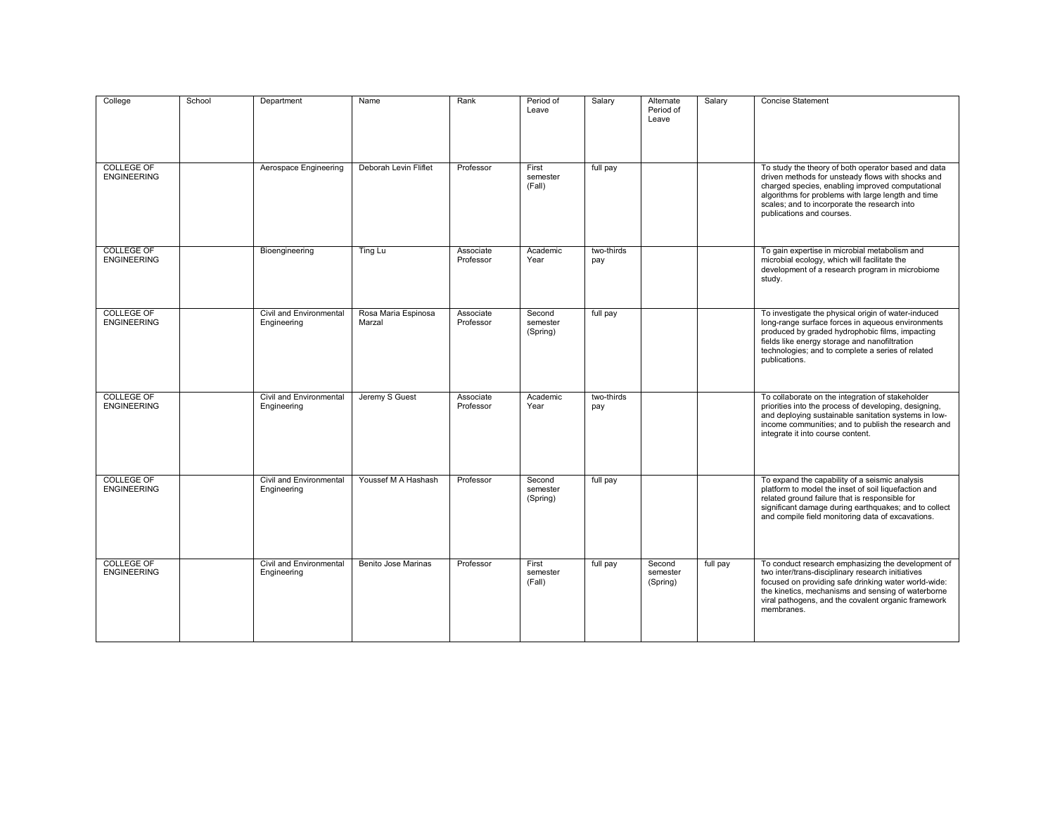| College                                 | School | Department                             | Name                          | Rank                   | Period of<br>Leave             | Salary            | Alternate<br>Period of<br>Leave | Salary   | <b>Concise Statement</b>                                                                                                                                                                                                                                                                        |
|-----------------------------------------|--------|----------------------------------------|-------------------------------|------------------------|--------------------------------|-------------------|---------------------------------|----------|-------------------------------------------------------------------------------------------------------------------------------------------------------------------------------------------------------------------------------------------------------------------------------------------------|
| <b>COLLEGE OF</b><br><b>ENGINEERING</b> |        | Aerospace Engineering                  | Deborah Levin Fliflet         | Professor              | First<br>semester<br>(Fall)    | full pay          |                                 |          | To study the theory of both operator based and data<br>driven methods for unsteady flows with shocks and<br>charged species, enabling improved computational<br>algorithms for problems with large length and time<br>scales; and to incorporate the research into<br>publications and courses. |
| <b>COLLEGE OF</b><br><b>ENGINEERING</b> |        | Bioengineering                         | Ting Lu                       | Associate<br>Professor | Academic<br>Year               | two-thirds<br>pay |                                 |          | To gain expertise in microbial metabolism and<br>microbial ecology, which will facilitate the<br>development of a research program in microbiome<br>study.                                                                                                                                      |
| <b>COLLEGE OF</b><br><b>ENGINEERING</b> |        | Civil and Environmental<br>Engineering | Rosa Maria Espinosa<br>Marzal | Associate<br>Professor | Second<br>semester<br>(Spring) | full pay          |                                 |          | To investigate the physical origin of water-induced<br>long-range surface forces in aqueous environments<br>produced by graded hydrophobic films, impacting<br>fields like energy storage and nanofiltration<br>technologies; and to complete a series of related<br>publications.              |
| <b>COLLEGE OF</b><br><b>ENGINEERING</b> |        | Civil and Environmental<br>Engineering | Jeremy S Guest                | Associate<br>Professor | Academic<br>Year               | two-thirds<br>pay |                                 |          | To collaborate on the integration of stakeholder<br>priorities into the process of developing, designing,<br>and deploying sustainable sanitation systems in low-<br>income communities; and to publish the research and<br>integrate it into course content.                                   |
| <b>COLLEGE OF</b><br><b>ENGINEERING</b> |        | Civil and Environmental<br>Engineering | Youssef M A Hashash           | Professor              | Second<br>semester<br>(Spring) | full pay          |                                 |          | To expand the capability of a seismic analysis<br>platform to model the inset of soil liquefaction and<br>related ground failure that is responsible for<br>significant damage during earthquakes; and to collect<br>and compile field monitoring data of excavations.                          |
| <b>COLLEGE OF</b><br><b>ENGINEERING</b> |        | Civil and Environmental<br>Engineering | Benito Jose Marinas           | Professor              | First<br>semester<br>(Fall)    | full pay          | Second<br>semester<br>(Spring)  | full pay | To conduct research emphasizing the development of<br>two inter/trans-disciplinary research initiatives<br>focused on providing safe drinking water world-wide:<br>the kinetics, mechanisms and sensing of waterborne<br>viral pathogens, and the covalent organic framework<br>membranes.      |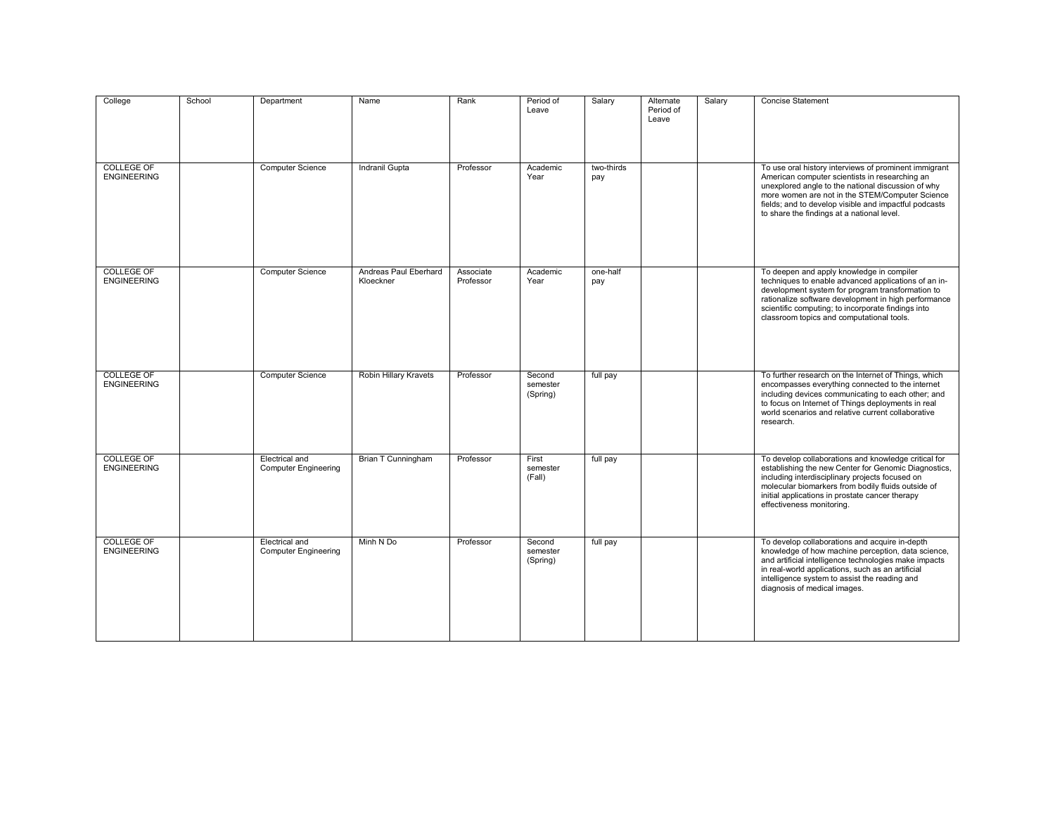| College                                 | School | Department                                           | Name                               | Rank                   | Period of<br>Leave             | Salary            | Alternate<br>Period of<br>Leave | Salary | <b>Concise Statement</b>                                                                                                                                                                                                                                                                                                |
|-----------------------------------------|--------|------------------------------------------------------|------------------------------------|------------------------|--------------------------------|-------------------|---------------------------------|--------|-------------------------------------------------------------------------------------------------------------------------------------------------------------------------------------------------------------------------------------------------------------------------------------------------------------------------|
| <b>COLLEGE OF</b><br><b>ENGINEERING</b> |        | <b>Computer Science</b>                              | Indranil Gupta                     | Professor              | Academic<br>Year               | two-thirds<br>pay |                                 |        | To use oral history interviews of prominent immigrant<br>American computer scientists in researching an<br>unexplored angle to the national discussion of why<br>more women are not in the STEM/Computer Science<br>fields; and to develop visible and impactful podcasts<br>to share the findings at a national level. |
| <b>COLLEGE OF</b><br><b>ENGINEERING</b> |        | <b>Computer Science</b>                              | Andreas Paul Eberhard<br>Kloeckner | Associate<br>Professor | Academic<br>Year               | one-half<br>pay   |                                 |        | To deepen and apply knowledge in compiler<br>techniques to enable advanced applications of an in-<br>development system for program transformation to<br>rationalize software development in high performance<br>scientific computing; to incorporate findings into<br>classroom topics and computational tools.        |
| <b>COLLEGE OF</b><br><b>ENGINEERING</b> |        | <b>Computer Science</b>                              | Robin Hillary Kravets              | Professor              | Second<br>semester<br>(Spring) | full pay          |                                 |        | To further research on the Internet of Things, which<br>encompasses everything connected to the internet<br>including devices communicating to each other; and<br>to focus on Internet of Things deployments in real<br>world scenarios and relative current collaborative<br>research.                                 |
| <b>COLLEGE OF</b><br><b>ENGINEERING</b> |        | <b>Electrical</b> and<br><b>Computer Engineering</b> | Brian T Cunningham                 | Professor              | First<br>semester<br>(Fall)    | full pay          |                                 |        | To develop collaborations and knowledge critical for<br>establishing the new Center for Genomic Diagnostics,<br>including interdisciplinary projects focused on<br>molecular biomarkers from bodily fluids outside of<br>initial applications in prostate cancer therapy<br>effectiveness monitoring.                   |
| <b>COLLEGE OF</b><br><b>ENGINEERING</b> |        | Electrical and<br><b>Computer Engineering</b>        | Minh N Do                          | Professor              | Second<br>semester<br>(Spring) | full pay          |                                 |        | To develop collaborations and acquire in-depth<br>knowledge of how machine perception, data science,<br>and artificial intelligence technologies make impacts<br>in real-world applications, such as an artificial<br>intelligence system to assist the reading and<br>diagnosis of medical images.                     |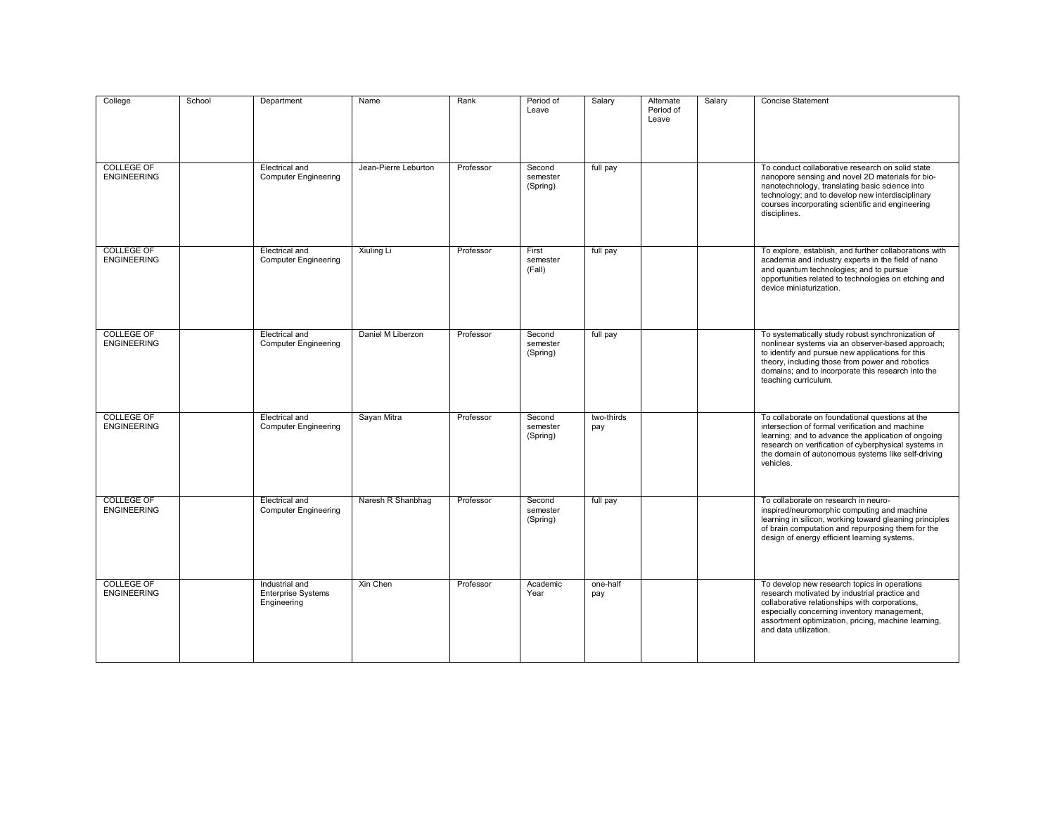| College                                 | School | Department                                                 | Name                 | Rank      | Period of<br>Leave             | Salary            | Alternate<br>Period of<br>Leave | Salary | <b>Concise Statement</b>                                                                                                                                                                                                                                                                    |
|-----------------------------------------|--------|------------------------------------------------------------|----------------------|-----------|--------------------------------|-------------------|---------------------------------|--------|---------------------------------------------------------------------------------------------------------------------------------------------------------------------------------------------------------------------------------------------------------------------------------------------|
| <b>COLLEGE OF</b><br><b>ENGINEERING</b> |        | Electrical and<br><b>Computer Engineering</b>              | Jean-Pierre Leburton | Professor | Second<br>semester<br>(Spring) | full pay          |                                 |        | To conduct collaborative research on solid state<br>nanopore sensing and novel 2D materials for bio-<br>nanotechnology, translating basic science into<br>technology; and to develop new interdisciplinary<br>courses incorporating scientific and engineering<br>disciplines.              |
| <b>COLLEGE OF</b><br><b>ENGINEERING</b> |        | <b>Electrical and</b><br><b>Computer Engineering</b>       | Xiuling Li           | Professor | First<br>semester<br>(Fall)    | full pay          |                                 |        | To explore, establish, and further collaborations with<br>academia and industry experts in the field of nano<br>and quantum technologies; and to pursue<br>opportunities related to technologies on etching and<br>device miniaturization.                                                  |
| <b>COLLEGE OF</b><br><b>ENGINEERING</b> |        | Electrical and<br><b>Computer Engineering</b>              | Daniel M Liberzon    | Professor | Second<br>semester<br>(Spring) | full pay          |                                 |        | To systematically study robust synchronization of<br>nonlinear systems via an observer-based approach;<br>to identify and pursue new applications for this<br>theory, including those from power and robotics<br>domains; and to incorporate this research into the<br>teaching curriculum. |
| <b>COLLEGE OF</b><br><b>ENGINEERING</b> |        | Electrical and<br><b>Computer Engineering</b>              | Sayan Mitra          | Professor | Second<br>semester<br>(Spring) | two-thirds<br>pay |                                 |        | To collaborate on foundational questions at the<br>intersection of formal verification and machine<br>learning; and to advance the application of ongoing<br>research on verification of cyberphysical systems in<br>the domain of autonomous systems like self-driving<br>vehicles.        |
| <b>COLLEGE OF</b><br><b>ENGINEERING</b> |        | <b>Electrical and</b><br><b>Computer Engineering</b>       | Naresh R Shanbhag    | Professor | Second<br>semester<br>(Spring) | full pay          |                                 |        | To collaborate on research in neuro-<br>inspired/neuromorphic computing and machine<br>learning in silicon, working toward gleaning principles<br>of brain computation and repurposing them for the<br>design of energy efficient learning systems.                                         |
| <b>COLLEGE OF</b><br><b>ENGINEERING</b> |        | Industrial and<br><b>Enterprise Systems</b><br>Engineering | Xin Chen             | Professor | Academic<br>Year               | one-half<br>pay   |                                 |        | To develop new research topics in operations<br>research motivated by industrial practice and<br>collaborative relationships with corporations,<br>especially concerning inventory management,<br>assortment optimization, pricing, machine learning,<br>and data utilization.              |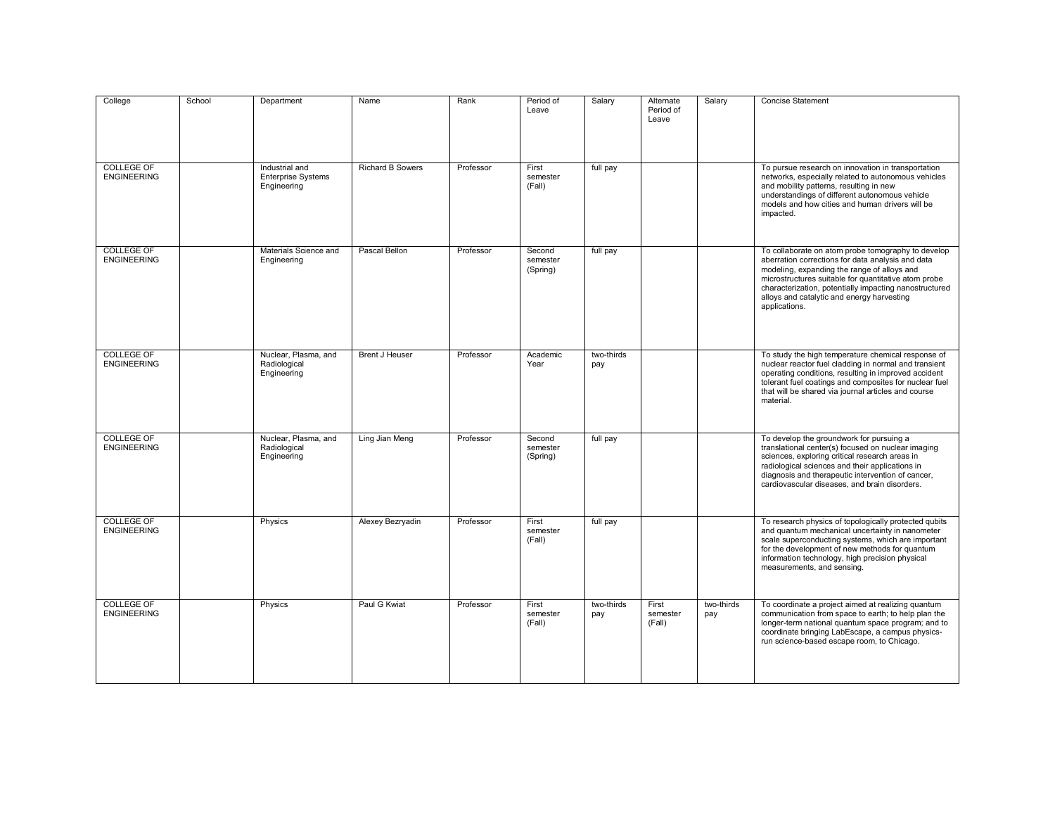| College                                 | School | Department                                                 | Name                    | Rank      | Period of<br>Leave             | Salary            | Alternate<br>Period of<br>Leave | Salary            | <b>Concise Statement</b>                                                                                                                                                                                                                                                                                                                |
|-----------------------------------------|--------|------------------------------------------------------------|-------------------------|-----------|--------------------------------|-------------------|---------------------------------|-------------------|-----------------------------------------------------------------------------------------------------------------------------------------------------------------------------------------------------------------------------------------------------------------------------------------------------------------------------------------|
| <b>COLLEGE OF</b><br><b>ENGINEERING</b> |        | Industrial and<br><b>Enterprise Systems</b><br>Engineering | <b>Richard B Sowers</b> | Professor | First<br>semester<br>(Fall)    | full pay          |                                 |                   | To pursue research on innovation in transportation<br>networks, especially related to autonomous vehicles<br>and mobility patterns, resulting in new<br>understandings of different autonomous vehicle<br>models and how cities and human drivers will be<br>impacted.                                                                  |
| <b>COLLEGE OF</b><br><b>ENGINEERING</b> |        | Materials Science and<br>Engineering                       | Pascal Bellon           | Professor | Second<br>semester<br>(Spring) | full pay          |                                 |                   | To collaborate on atom probe tomography to develop<br>aberration corrections for data analysis and data<br>modeling, expanding the range of alloys and<br>microstructures suitable for quantitative atom probe<br>characterization, potentially impacting nanostructured<br>alloys and catalytic and energy harvesting<br>applications. |
| <b>COLLEGE OF</b><br><b>ENGINEERING</b> |        | Nuclear, Plasma, and<br>Radiological<br>Engineering        | <b>Brent J Heuser</b>   | Professor | Academic<br>Year               | two-thirds<br>pay |                                 |                   | To study the high temperature chemical response of<br>nuclear reactor fuel cladding in normal and transient<br>operating conditions, resulting in improved accident<br>tolerant fuel coatings and composites for nuclear fuel<br>that will be shared via journal articles and course<br>material.                                       |
| <b>COLLEGE OF</b><br><b>ENGINEERING</b> |        | Nuclear, Plasma, and<br>Radiological<br>Engineering        | Ling Jian Meng          | Professor | Second<br>semester<br>(Spring) | full pay          |                                 |                   | To develop the groundwork for pursuing a<br>translational center(s) focused on nuclear imaging<br>sciences, exploring critical research areas in<br>radiological sciences and their applications in<br>diagnosis and therapeutic intervention of cancer,<br>cardiovascular diseases, and brain disorders.                               |
| <b>COLLEGE OF</b><br><b>ENGINEERING</b> |        | Physics                                                    | Alexey Bezryadin        | Professor | First<br>semester<br>(Fall)    | full pay          |                                 |                   | To research physics of topologically protected qubits<br>and quantum mechanical uncertainty in nanometer<br>scale superconducting systems, which are important<br>for the development of new methods for quantum<br>information technology, high precision physical<br>measurements, and sensing.                                       |
| <b>COLLEGE OF</b><br><b>ENGINEERING</b> |        | Physics                                                    | Paul G Kwiat            | Professor | First<br>semester<br>(Fall)    | two-thirds<br>pay | First<br>semester<br>(Fall)     | two-thirds<br>pay | To coordinate a project aimed at realizing quantum<br>communication from space to earth; to help plan the<br>longer-term national quantum space program; and to<br>coordinate bringing LabEscape, a campus physics-<br>run science-based escape room, to Chicago.                                                                       |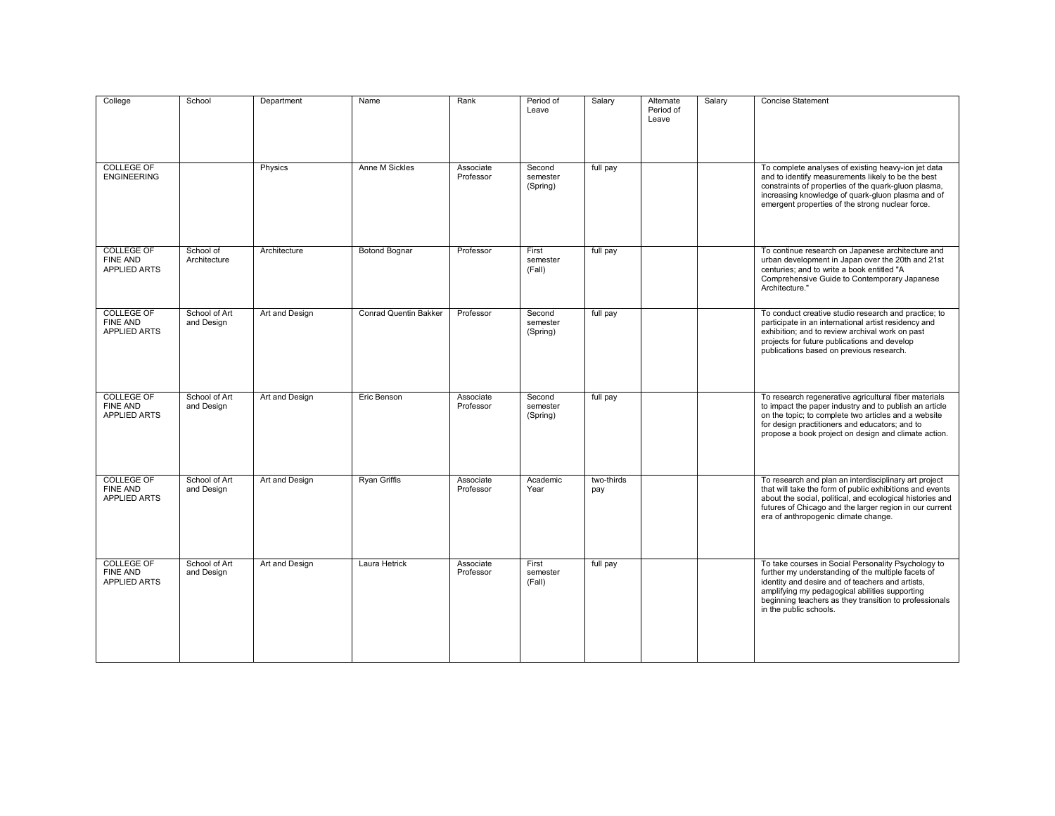| College                                                     | School                      | Department     | Name                         | Rank                   | Period of<br>Leave             | Salary            | Alternate<br>Period of<br>Leave | Salary | <b>Concise Statement</b>                                                                                                                                                                                                                                                                            |
|-------------------------------------------------------------|-----------------------------|----------------|------------------------------|------------------------|--------------------------------|-------------------|---------------------------------|--------|-----------------------------------------------------------------------------------------------------------------------------------------------------------------------------------------------------------------------------------------------------------------------------------------------------|
| <b>COLLEGE OF</b><br><b>ENGINEERING</b>                     |                             | Physics        | Anne M Sickles               | Associate<br>Professor | Second<br>semester<br>(Spring) | full pay          |                                 |        | To complete analyses of existing heavy-ion jet data<br>and to identify measurements likely to be the best<br>constraints of properties of the quark-gluon plasma,<br>increasing knowledge of quark-gluon plasma and of<br>emergent properties of the strong nuclear force.                          |
| <b>COLLEGE OF</b><br><b>FINE AND</b><br>APPLIED ARTS        | School of<br>Architecture   | Architecture   | <b>Botond Bognar</b>         | Professor              | First<br>semester<br>(Fall)    | full pay          |                                 |        | To continue research on Japanese architecture and<br>urban development in Japan over the 20th and 21st<br>centuries; and to write a book entitled "A<br>Comprehensive Guide to Contemporary Japanese<br>Architecture."                                                                              |
| <b>COLLEGE OF</b><br><b>FINE AND</b><br>APPLIED ARTS        | School of Art<br>and Design | Art and Design | <b>Conrad Quentin Bakker</b> | Professor              | Second<br>semester<br>(Spring) | full pay          |                                 |        | To conduct creative studio research and practice; to<br>participate in an international artist residency and<br>exhibition; and to review archival work on past<br>projects for future publications and develop<br>publications based on previous research.                                         |
| <b>COLLEGE OF</b><br><b>FINE AND</b><br>APPLIED ARTS        | School of Art<br>and Design | Art and Design | Eric Benson                  | Associate<br>Professor | Second<br>semester<br>(Spring) | full pay          |                                 |        | To research regenerative agricultural fiber materials<br>to impact the paper industry and to publish an article<br>on the topic; to complete two articles and a website<br>for design practitioners and educators; and to<br>propose a book project on design and climate action.                   |
| <b>COLLEGE OF</b><br><b>FINE AND</b><br><b>APPLIED ARTS</b> | School of Art<br>and Design | Art and Design | <b>Ryan Griffis</b>          | Associate<br>Professor | Academic<br>Year               | two-thirds<br>pay |                                 |        | To research and plan an interdisciplinary art project<br>that will take the form of public exhibitions and events<br>about the social, political, and ecological histories and<br>futures of Chicago and the larger region in our current<br>era of anthropogenic climate change.                   |
| <b>COLLEGE OF</b><br><b>FINE AND</b><br><b>APPLIED ARTS</b> | School of Art<br>and Design | Art and Design | Laura Hetrick                | Associate<br>Professor | First<br>semester<br>(Fall)    | full pay          |                                 |        | To take courses in Social Personality Psychology to<br>further my understanding of the multiple facets of<br>identity and desire and of teachers and artists,<br>amplifying my pedagogical abilities supporting<br>beginning teachers as they transition to professionals<br>in the public schools. |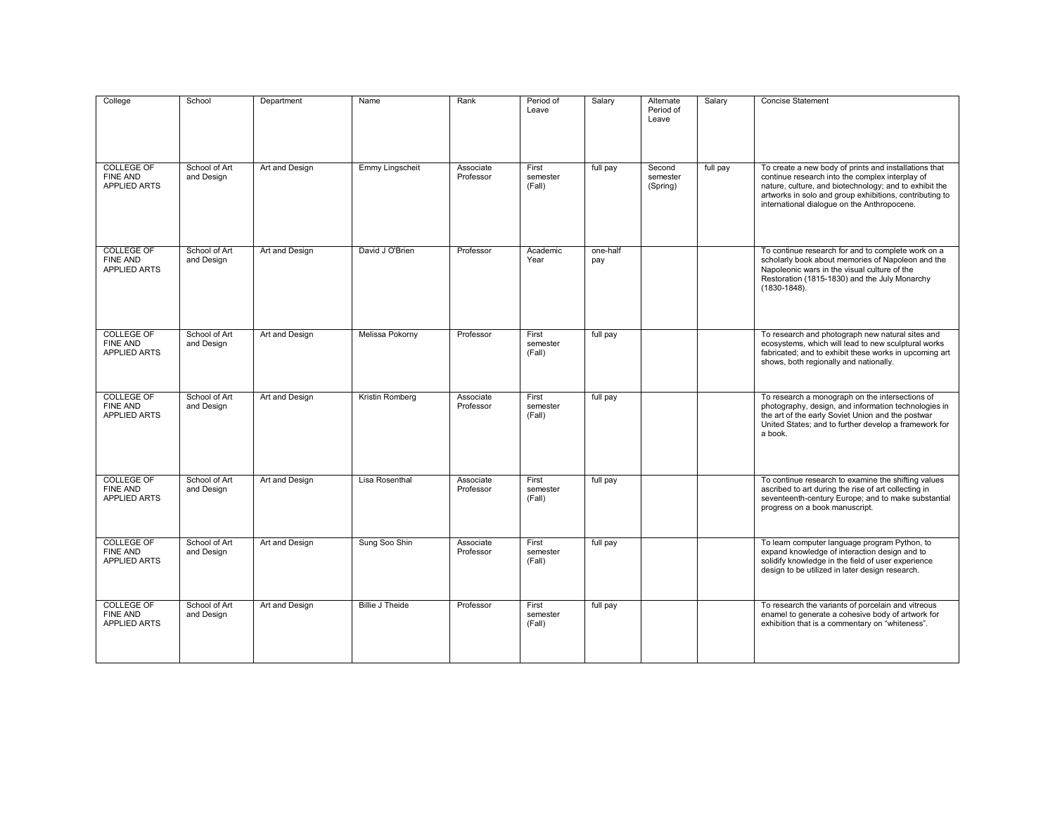| College<br><b>COLLEGE OF</b><br>FINE AND<br><b>APPLIED ARTS</b> | School<br>School of Art<br>and Design | Department<br>Art and Design | Name<br>Emmy Lingscheit | Rank<br>Associate<br>Professor | Period of<br>Leave<br>First<br>semester<br>(Fall) | Salary<br>full pay | Alternate<br>Period of<br>Leave<br>Second<br>semester<br>(Spring) | Salary<br>full pay | <b>Concise Statement</b><br>To create a new body of prints and installations that<br>continue research into the complex interplay of<br>nature, culture, and biotechnology; and to exhibit the<br>artworks in solo and group exhibitions, contributing to<br>international dialogue on the Anthropocene. |
|-----------------------------------------------------------------|---------------------------------------|------------------------------|-------------------------|--------------------------------|---------------------------------------------------|--------------------|-------------------------------------------------------------------|--------------------|----------------------------------------------------------------------------------------------------------------------------------------------------------------------------------------------------------------------------------------------------------------------------------------------------------|
| <b>COLLEGE OF</b><br><b>FINE AND</b><br><b>APPLIED ARTS</b>     | School of Art<br>and Design           | Art and Design               | David J O'Brien         | Professor                      | Academic<br>Year                                  | one-half<br>pay    |                                                                   |                    | To continue research for and to complete work on a<br>scholarly book about memories of Napoleon and the<br>Napoleonic wars in the visual culture of the<br>Restoration (1815-1830) and the July Monarchy<br>$(1830 - 1848)$ .                                                                            |
| <b>COLLEGE OF</b><br><b>FINE AND</b><br><b>APPLIED ARTS</b>     | School of Art<br>and Design           | Art and Design               | Melissa Pokorny         | Professor                      | First<br>semester<br>(Fall)                       | full pay           |                                                                   |                    | To research and photograph new natural sites and<br>ecosystems, which will lead to new sculptural works<br>fabricated; and to exhibit these works in upcoming art<br>shows, both regionally and nationally.                                                                                              |
| <b>COLLEGE OF</b><br>FINE AND<br><b>APPLIED ARTS</b>            | School of Art<br>and Design           | Art and Design               | Kristin Romberg         | Associate<br>Professor         | First<br>semester<br>(Fall)                       | full pay           |                                                                   |                    | To research a monograph on the intersections of<br>photography, design, and information technologies in<br>the art of the early Soviet Union and the postwar<br>United States; and to further develop a framework for<br>a book.                                                                         |
| <b>COLLEGE OF</b><br>FINE AND<br><b>APPLIED ARTS</b>            | School of Art<br>and Design           | Art and Design               | Lisa Rosenthal          | Associate<br>Professor         | First<br>semester<br>(Fall)                       | full pay           |                                                                   |                    | To continue research to examine the shifting values<br>ascribed to art during the rise of art collecting in<br>seventeenth-century Europe; and to make substantial<br>progress on a book manuscript.                                                                                                     |
| <b>COLLEGE OF</b><br>FINE AND<br><b>APPLIED ARTS</b>            | School of Art<br>and Design           | Art and Design               | Sung Soo Shin           | Associate<br>Professor         | First<br>semester<br>(Fall)                       | full pay           |                                                                   |                    | To learn computer language program Python, to<br>expand knowledge of interaction design and to<br>solidify knowledge in the field of user experience<br>design to be utilized in later design research.                                                                                                  |
| <b>COLLEGE OF</b><br><b>FINE AND</b><br>APPLIED ARTS            | School of Art<br>and Design           | Art and Design               | <b>Billie J Theide</b>  | Professor                      | First<br>semester<br>(Fall)                       | full pay           |                                                                   |                    | To research the variants of porcelain and vitreous<br>enamel to generate a cohesive body of artwork for<br>exhibition that is a commentary on "whiteness".                                                                                                                                               |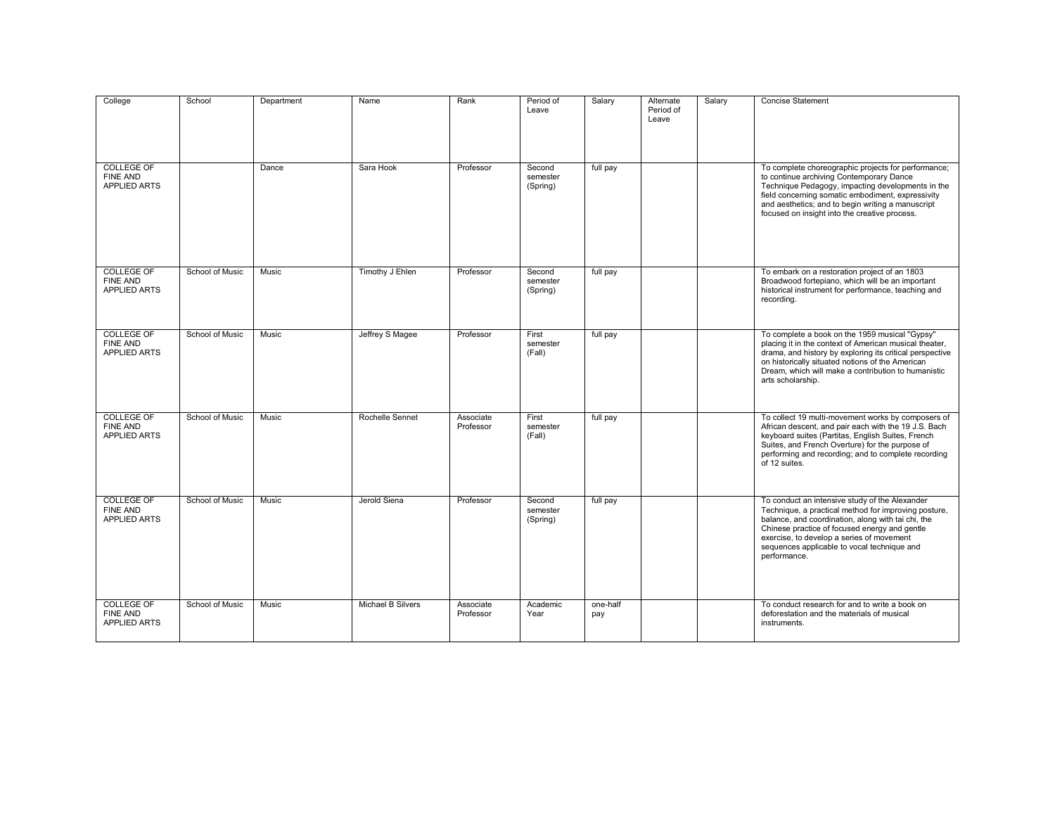| College                                                     | School          | Department | Name              | Rank                   | Period of<br>Leave             | Salary          | Alternate<br>Period of<br>Leave | Salary | <b>Concise Statement</b>                                                                                                                                                                                                                                                                                                  |
|-------------------------------------------------------------|-----------------|------------|-------------------|------------------------|--------------------------------|-----------------|---------------------------------|--------|---------------------------------------------------------------------------------------------------------------------------------------------------------------------------------------------------------------------------------------------------------------------------------------------------------------------------|
| <b>COLLEGE OF</b><br><b>FINE AND</b><br><b>APPLIED ARTS</b> |                 | Dance      | Sara Hook         | Professor              | Second<br>semester<br>(Spring) | full pay        |                                 |        | To complete choreographic projects for performance;<br>to continue archiving Contemporary Dance<br>Technique Pedagogy, impacting developments in the<br>field concerning somatic embodiment, expressivity<br>and aesthetics; and to begin writing a manuscript<br>focused on insight into the creative process.           |
| <b>COLLEGE OF</b><br><b>FINE AND</b><br><b>APPLIED ARTS</b> | School of Music | Music      | Timothy J Ehlen   | Professor              | Second<br>semester<br>(Spring) | full pay        |                                 |        | To embark on a restoration project of an 1803<br>Broadwood fortepiano, which will be an important<br>historical instrument for performance, teaching and<br>recording.                                                                                                                                                    |
| <b>COLLEGE OF</b><br>FINE AND<br>APPLIED ARTS               | School of Music | Music      | Jeffrey S Magee   | Professor              | First<br>semester<br>(Fall)    | full pay        |                                 |        | To complete a book on the 1959 musical "Gypsy"<br>placing it in the context of American musical theater,<br>drama, and history by exploring its critical perspective<br>on historically situated notions of the American<br>Dream, which will make a contribution to humanistic<br>arts scholarship.                      |
| <b>COLLEGE OF</b><br><b>FINE AND</b><br><b>APPLIED ARTS</b> | School of Music | Music      | Rochelle Sennet   | Associate<br>Professor | First<br>semester<br>(Fall)    | full pay        |                                 |        | To collect 19 multi-movement works by composers of<br>African descent, and pair each with the 19 J.S. Bach<br>keyboard suites (Partitas, English Suites, French<br>Suites, and French Overture) for the purpose of<br>performing and recording; and to complete recording<br>of 12 suites.                                |
| <b>COLLEGE OF</b><br>FINE AND<br><b>APPLIED ARTS</b>        | School of Music | Music      | Jerold Siena      | Professor              | Second<br>semester<br>(Spring) | full pay        |                                 |        | To conduct an intensive study of the Alexander<br>Technique, a practical method for improving posture,<br>balance, and coordination, along with tai chi, the<br>Chinese practice of focused energy and gentle<br>exercise, to develop a series of movement<br>sequences applicable to vocal technique and<br>performance. |
| <b>COLLEGE OF</b><br><b>FINE AND</b><br>APPLIED ARTS        | School of Music | Music      | Michael B Silvers | Associate<br>Professor | Academic<br>Year               | one-half<br>pay |                                 |        | To conduct research for and to write a book on<br>deforestation and the materials of musical<br>instruments.                                                                                                                                                                                                              |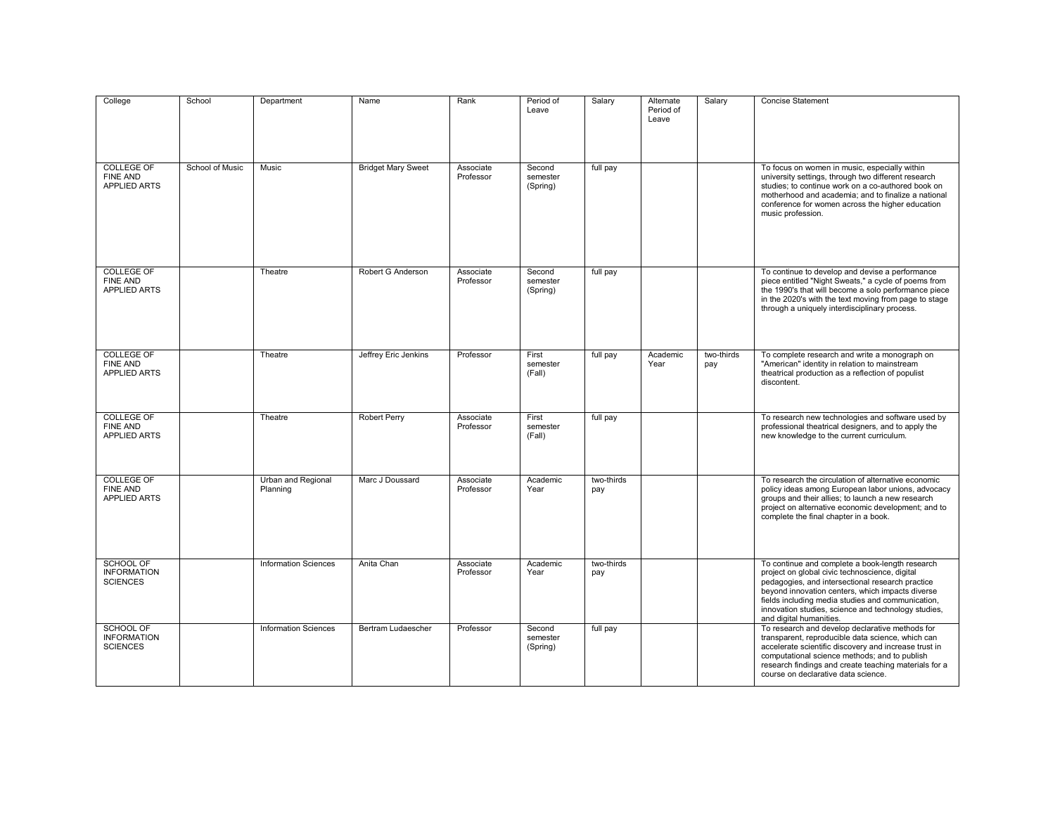| College                                                     | School          | Department                     | Name                      | Rank                   | Period of<br>Leave             | Salary            | Alternate<br>Period of<br>Leave | Salary            | <b>Concise Statement</b>                                                                                                                                                                                                                                                                                                                         |
|-------------------------------------------------------------|-----------------|--------------------------------|---------------------------|------------------------|--------------------------------|-------------------|---------------------------------|-------------------|--------------------------------------------------------------------------------------------------------------------------------------------------------------------------------------------------------------------------------------------------------------------------------------------------------------------------------------------------|
| <b>COLLEGE OF</b><br><b>FINE AND</b><br><b>APPLIED ARTS</b> | School of Music | Music                          | <b>Bridget Mary Sweet</b> | Associate<br>Professor | Second<br>semester<br>(Spring) | full pay          |                                 |                   | To focus on women in music, especially within<br>university settings, through two different research<br>studies; to continue work on a co-authored book on<br>motherhood and academia: and to finalize a national<br>conference for women across the higher education<br>music profession.                                                       |
| <b>COLLEGE OF</b><br><b>FINE AND</b><br><b>APPLIED ARTS</b> |                 | Theatre                        | Robert G Anderson         | Associate<br>Professor | Second<br>semester<br>(Spring) | full pay          |                                 |                   | To continue to develop and devise a performance<br>piece entitled "Night Sweats," a cycle of poems from<br>the 1990's that will become a solo performance piece<br>in the 2020's with the text moving from page to stage<br>through a uniquely interdisciplinary process.                                                                        |
| <b>COLLEGE OF</b><br><b>FINE AND</b><br><b>APPLIED ARTS</b> |                 | Theatre                        | Jeffrey Eric Jenkins      | Professor              | First<br>semester<br>(Fall)    | full pay          | Academic<br>Year                | two-thirds<br>pay | To complete research and write a monograph on<br>"American" identity in relation to mainstream<br>theatrical production as a reflection of populist<br>discontent.                                                                                                                                                                               |
| <b>COLLEGE OF</b><br>FINE AND<br>APPLIED ARTS               |                 | Theatre                        | <b>Robert Perry</b>       | Associate<br>Professor | First<br>semester<br>(Fall)    | full pay          |                                 |                   | To research new technologies and software used by<br>professional theatrical designers, and to apply the<br>new knowledge to the current curriculum.                                                                                                                                                                                             |
| <b>COLLEGE OF</b><br><b>FINE AND</b><br><b>APPLIED ARTS</b> |                 | Urban and Regional<br>Planning | Marc J Doussard           | Associate<br>Professor | Academic<br>Year               | two-thirds<br>pay |                                 |                   | To research the circulation of alternative economic<br>policy ideas among European labor unions, advocacy<br>groups and their allies; to launch a new research<br>project on alternative economic development; and to<br>complete the final chapter in a book.                                                                                   |
| <b>SCHOOL OF</b><br><b>INFORMATION</b><br><b>SCIENCES</b>   |                 | <b>Information Sciences</b>    | Anita Chan                | Associate<br>Professor | Academic<br>Year               | two-thirds<br>pay |                                 |                   | To continue and complete a book-length research<br>project on global civic technoscience, digital<br>pedagogies, and intersectional research practice<br>beyond innovation centers, which impacts diverse<br>fields including media studies and communication,<br>innovation studies, science and technology studies,<br>and digital humanities. |
| SCHOOL OF<br><b>INFORMATION</b><br><b>SCIENCES</b>          |                 | <b>Information Sciences</b>    | Bertram Ludaescher        | Professor              | Second<br>semester<br>(Spring) | full pay          |                                 |                   | To research and develop declarative methods for<br>transparent, reproducible data science, which can<br>accelerate scientific discovery and increase trust in<br>computational science methods; and to publish<br>research findings and create teaching materials for a<br>course on declarative data science.                                   |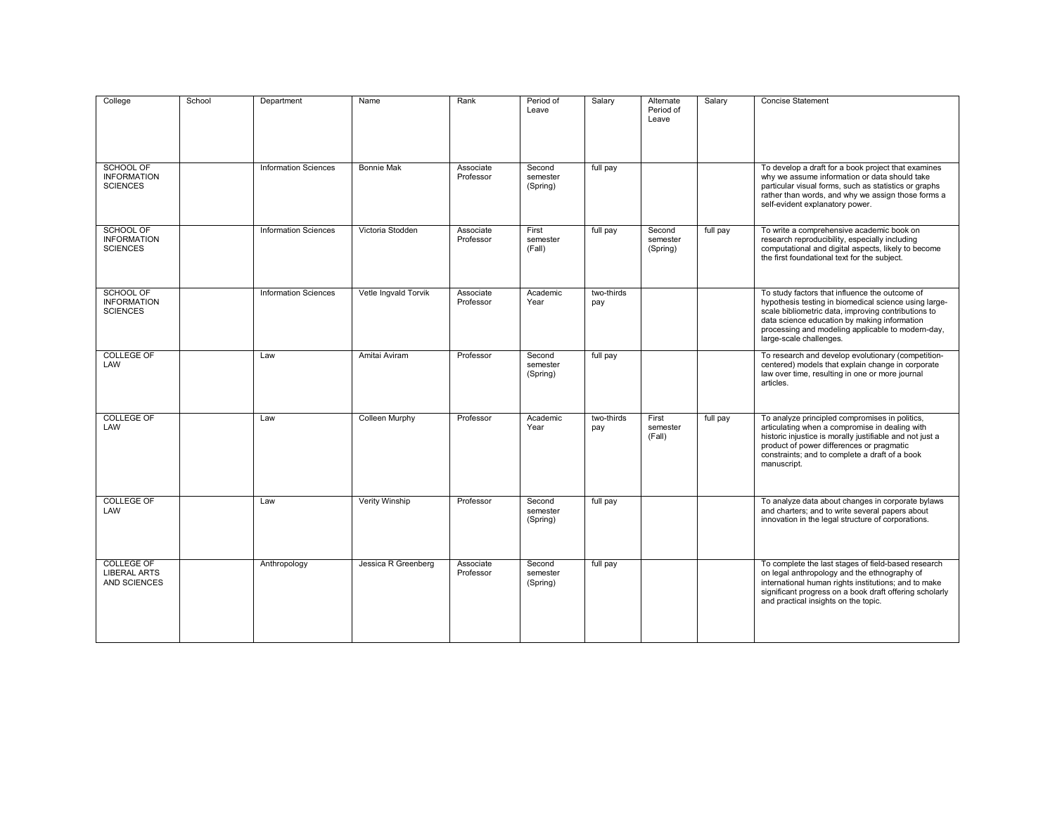| College<br>SCHOOL OF                                      | School | Department<br><b>Information Sciences</b> | Name<br><b>Bonnie Mak</b> | Rank<br>Associate      | Period of<br>Leave<br>Second   | Salary<br>full pay | Alternate<br>Period of<br>Leave | Salary   | <b>Concise Statement</b><br>To develop a draft for a book project that examines                                                                                                                                                                                                                |
|-----------------------------------------------------------|--------|-------------------------------------------|---------------------------|------------------------|--------------------------------|--------------------|---------------------------------|----------|------------------------------------------------------------------------------------------------------------------------------------------------------------------------------------------------------------------------------------------------------------------------------------------------|
| <b>INFORMATION</b><br><b>SCIENCES</b>                     |        |                                           |                           | Professor              | semester<br>(Spring)           |                    |                                 |          | why we assume information or data should take<br>particular visual forms, such as statistics or graphs<br>rather than words, and why we assign those forms a<br>self-evident explanatory power.                                                                                                |
| SCHOOL OF<br><b>INFORMATION</b><br><b>SCIENCES</b>        |        | <b>Information Sciences</b>               | Victoria Stodden          | Associate<br>Professor | First<br>semester<br>(Fall)    | full pay           | Second<br>semester<br>(Spring)  | full pay | To write a comprehensive academic book on<br>research reproducibility, especially including<br>computational and digital aspects, likely to become<br>the first foundational text for the subject.                                                                                             |
| <b>SCHOOL OF</b><br><b>INFORMATION</b><br><b>SCIENCES</b> |        | <b>Information Sciences</b>               | Vetle Ingvald Torvik      | Associate<br>Professor | Academic<br>Year               | two-thirds<br>pay  |                                 |          | To study factors that influence the outcome of<br>hypothesis testing in biomedical science using large-<br>scale bibliometric data, improving contributions to<br>data science education by making information<br>processing and modeling applicable to modern-day,<br>large-scale challenges. |
| <b>COLLEGE OF</b><br>LAW                                  |        | Law                                       | Amitai Aviram             | Professor              | Second<br>semester<br>(Spring) | full pay           |                                 |          | To research and develop evolutionary (competition-<br>centered) models that explain change in corporate<br>law over time, resulting in one or more journal<br>articles.                                                                                                                        |
| <b>COLLEGE OF</b><br>LAW                                  |        | Law                                       | Colleen Murphy            | Professor              | Academic<br>Year               | two-thirds<br>pay  | First<br>semester<br>(Fall)     | full pay | To analyze principled compromises in politics,<br>articulating when a compromise in dealing with<br>historic injustice is morally justifiable and not just a<br>product of power differences or pragmatic<br>constraints; and to complete a draft of a book<br>manuscript.                     |
| <b>COLLEGE OF</b><br>LAW                                  |        | Law                                       | <b>Verity Winship</b>     | Professor              | Second<br>semester<br>(Spring) | full pay           |                                 |          | To analyze data about changes in corporate bylaws<br>and charters; and to write several papers about<br>innovation in the legal structure of corporations.                                                                                                                                     |
| <b>COLLEGE OF</b><br><b>LIBERAL ARTS</b><br>AND SCIENCES  |        | Anthropology                              | Jessica R Greenberg       | Associate<br>Professor | Second<br>semester<br>(Spring) | full pay           |                                 |          | To complete the last stages of field-based research<br>on legal anthropology and the ethnography of<br>international human rights institutions; and to make<br>significant progress on a book draft offering scholarly<br>and practical insights on the topic.                                 |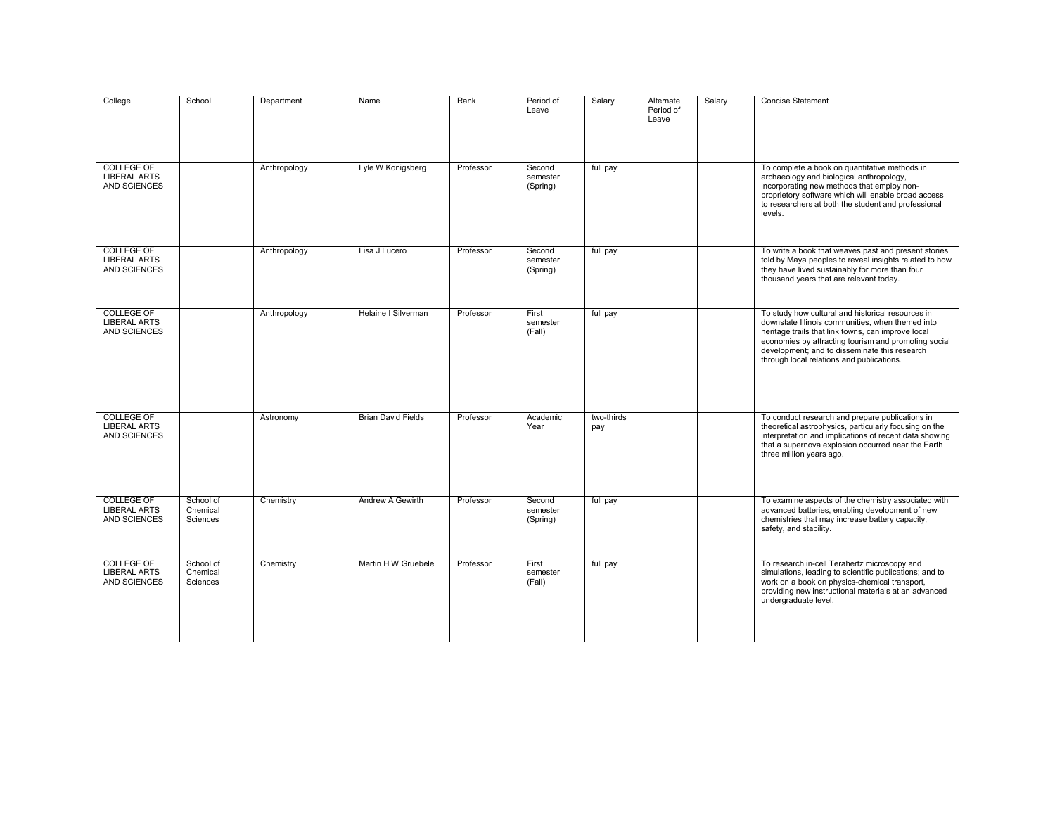| College                                                         | School                            | Department   | Name                      | Rank      | Period of<br>Leave             | Salary            | Alternate<br>Period of<br>Leave | Salary | <b>Concise Statement</b>                                                                                                                                                                                                                                                                                          |
|-----------------------------------------------------------------|-----------------------------------|--------------|---------------------------|-----------|--------------------------------|-------------------|---------------------------------|--------|-------------------------------------------------------------------------------------------------------------------------------------------------------------------------------------------------------------------------------------------------------------------------------------------------------------------|
| <b>COLLEGE OF</b><br><b>LIBERAL ARTS</b><br><b>AND SCIENCES</b> |                                   | Anthropology | Lyle W Konigsberg         | Professor | Second<br>semester<br>(Spring) | full pay          |                                 |        | To complete a book on quantitative methods in<br>archaeology and biological anthropology,<br>incorporating new methods that employ non-<br>proprietory software which will enable broad access<br>to researchers at both the student and professional<br>levels.                                                  |
| <b>COLLEGE OF</b><br><b>LIBERAL ARTS</b><br><b>AND SCIENCES</b> |                                   | Anthropology | Lisa J Lucero             | Professor | Second<br>semester<br>(Spring) | full pay          |                                 |        | To write a book that weaves past and present stories<br>told by Maya peoples to reveal insights related to how<br>they have lived sustainably for more than four<br>thousand years that are relevant today.                                                                                                       |
| <b>COLLEGE OF</b><br><b>LIBERAL ARTS</b><br><b>AND SCIENCES</b> |                                   | Anthropology | Helaine I Silverman       | Professor | First<br>semester<br>(Fall)    | full pay          |                                 |        | To study how cultural and historical resources in<br>downstate Illinois communities, when themed into<br>heritage trails that link towns, can improve local<br>economies by attracting tourism and promoting social<br>development; and to disseminate this research<br>through local relations and publications. |
| <b>COLLEGE OF</b><br><b>LIBERAL ARTS</b><br>AND SCIENCES        |                                   | Astronomy    | <b>Brian David Fields</b> | Professor | Academic<br>Year               | two-thirds<br>pay |                                 |        | To conduct research and prepare publications in<br>theoretical astrophysics, particularly focusing on the<br>interpretation and implications of recent data showing<br>that a supernova explosion occurred near the Earth<br>three million years ago.                                                             |
| <b>COLLEGE OF</b><br><b>LIBERAL ARTS</b><br>AND SCIENCES        | School of<br>Chemical<br>Sciences | Chemistry    | Andrew A Gewirth          | Professor | Second<br>semester<br>(Spring) | full pay          |                                 |        | To examine aspects of the chemistry associated with<br>advanced batteries, enabling development of new<br>chemistries that may increase battery capacity,<br>safety, and stability.                                                                                                                               |
| <b>COLLEGE OF</b><br><b>LIBERAL ARTS</b><br>AND SCIENCES        | School of<br>Chemical<br>Sciences | Chemistry    | Martin H W Gruebele       | Professor | First<br>semester<br>(Fall)    | full pay          |                                 |        | To research in-cell Terahertz microscopy and<br>simulations, leading to scientific publications; and to<br>work on a book on physics-chemical transport,<br>providing new instructional materials at an advanced<br>undergraduate level.                                                                          |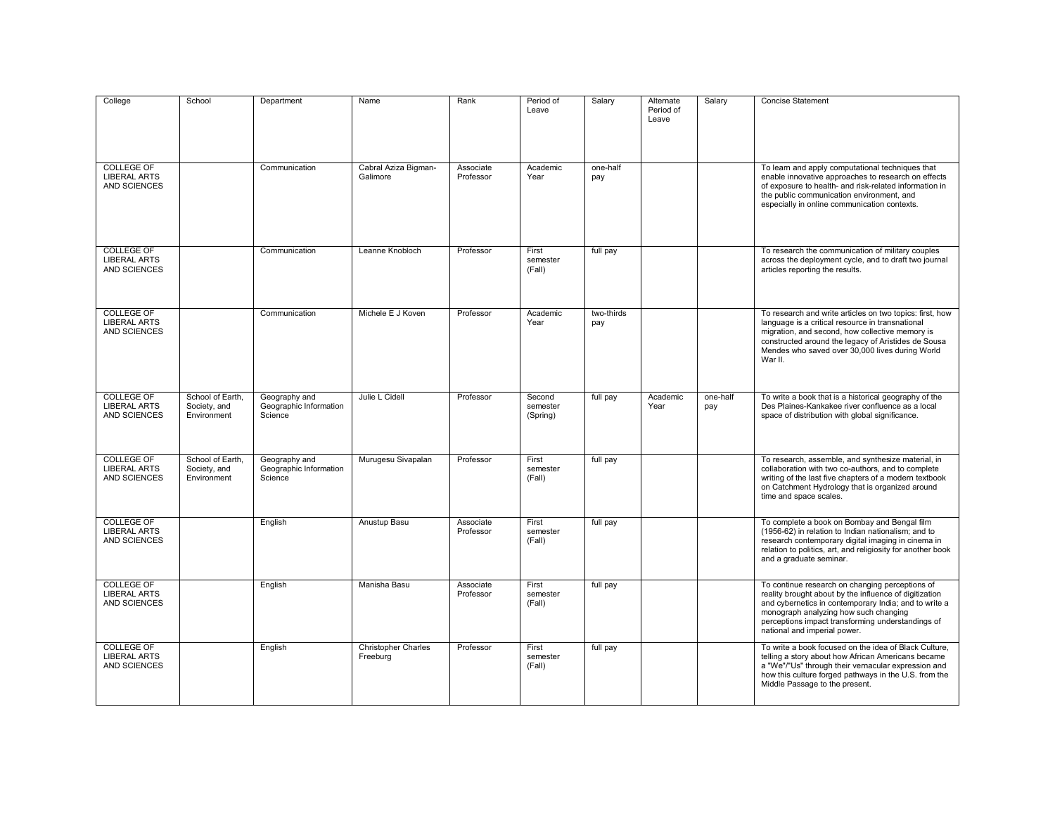| College                                                         | School                                          | Department                                         | Name                                   | Rank                   | Period of<br>Leave             | Salary            | Alternate<br>Period of<br>Leave | Salary          | <b>Concise Statement</b>                                                                                                                                                                                                                                                                         |
|-----------------------------------------------------------------|-------------------------------------------------|----------------------------------------------------|----------------------------------------|------------------------|--------------------------------|-------------------|---------------------------------|-----------------|--------------------------------------------------------------------------------------------------------------------------------------------------------------------------------------------------------------------------------------------------------------------------------------------------|
| COLLEGE OF<br><b>LIBERAL ARTS</b><br><b>AND SCIENCES</b>        |                                                 | Communication                                      | Cabral Aziza Bigman-<br>Galimore       | Associate<br>Professor | Academic<br>Year               | one-half<br>pay   |                                 |                 | To learn and apply computational techniques that<br>enable innovative approaches to research on effects<br>of exposure to health- and risk-related information in<br>the public communication environment, and<br>especially in online communication contexts.                                   |
| <b>COLLEGE OF</b><br><b>LIBERAL ARTS</b><br>AND SCIENCES        |                                                 | Communication                                      | Leanne Knobloch                        | Professor              | First<br>semester<br>(Fall)    | full pay          |                                 |                 | To research the communication of military couples<br>across the deployment cycle, and to draft two journal<br>articles reporting the results.                                                                                                                                                    |
| <b>COLLEGE OF</b><br><b>LIBERAL ARTS</b><br>AND SCIENCES        |                                                 | Communication                                      | Michele E J Koven                      | Professor              | Academic<br>Year               | two-thirds<br>pay |                                 |                 | To research and write articles on two topics: first, how<br>language is a critical resource in transnational<br>migration, and second, how collective memory is<br>constructed around the legacy of Aristides de Sousa<br>Mendes who saved over 30,000 lives during World<br>War II.             |
| <b>COLLEGE OF</b><br><b>LIBERAL ARTS</b><br>AND SCIENCES        | School of Earth,<br>Society, and<br>Environment | Geography and<br>Geographic Information<br>Science | Julie L Cidell                         | Professor              | Second<br>semester<br>(Spring) | full pay          | Academic<br>Year                | one-half<br>pay | To write a book that is a historical geography of the<br>Des Plaines-Kankakee river confluence as a local<br>space of distribution with global significance.                                                                                                                                     |
| <b>COLLEGE OF</b><br><b>LIBERAL ARTS</b><br>AND SCIENCES        | School of Earth.<br>Society, and<br>Environment | Geography and<br>Geographic Information<br>Science | Murugesu Sivapalan                     | Professor              | First<br>semester<br>(Fall)    | full pay          |                                 |                 | To research, assemble, and synthesize material, in<br>collaboration with two co-authors, and to complete<br>writing of the last five chapters of a modern textbook<br>on Catchment Hydrology that is organized around<br>time and space scales.                                                  |
| COLLEGE OF<br><b>LIBERAL ARTS</b><br><b>AND SCIENCES</b>        |                                                 | English                                            | Anustup Basu                           | Associate<br>Professor | First<br>semester<br>(Fall)    | full pay          |                                 |                 | To complete a book on Bombay and Bengal film<br>(1956-62) in relation to Indian nationalism; and to<br>research contemporary digital imaging in cinema in<br>relation to politics, art, and religiosity for another book<br>and a graduate seminar.                                              |
| <b>COLLEGE OF</b><br><b>LIBERAL ARTS</b><br>AND SCIENCES        |                                                 | English                                            | Manisha Basu                           | Associate<br>Professor | First<br>semester<br>(Fall)    | full pay          |                                 |                 | To continue research on changing perceptions of<br>reality brought about by the influence of digitization<br>and cybernetics in contemporary India; and to write a<br>monograph analyzing how such changing<br>perceptions impact transforming understandings of<br>national and imperial power. |
| <b>COLLEGE OF</b><br><b>LIBERAL ARTS</b><br><b>AND SCIENCES</b> |                                                 | English                                            | <b>Christopher Charles</b><br>Freeburg | Professor              | First<br>semester<br>(Fall)    | full pay          |                                 |                 | To write a book focused on the idea of Black Culture.<br>telling a story about how African Americans became<br>a "We"/"Us" through their vernacular expression and<br>how this culture forged pathways in the U.S. from the<br>Middle Passage to the present.                                    |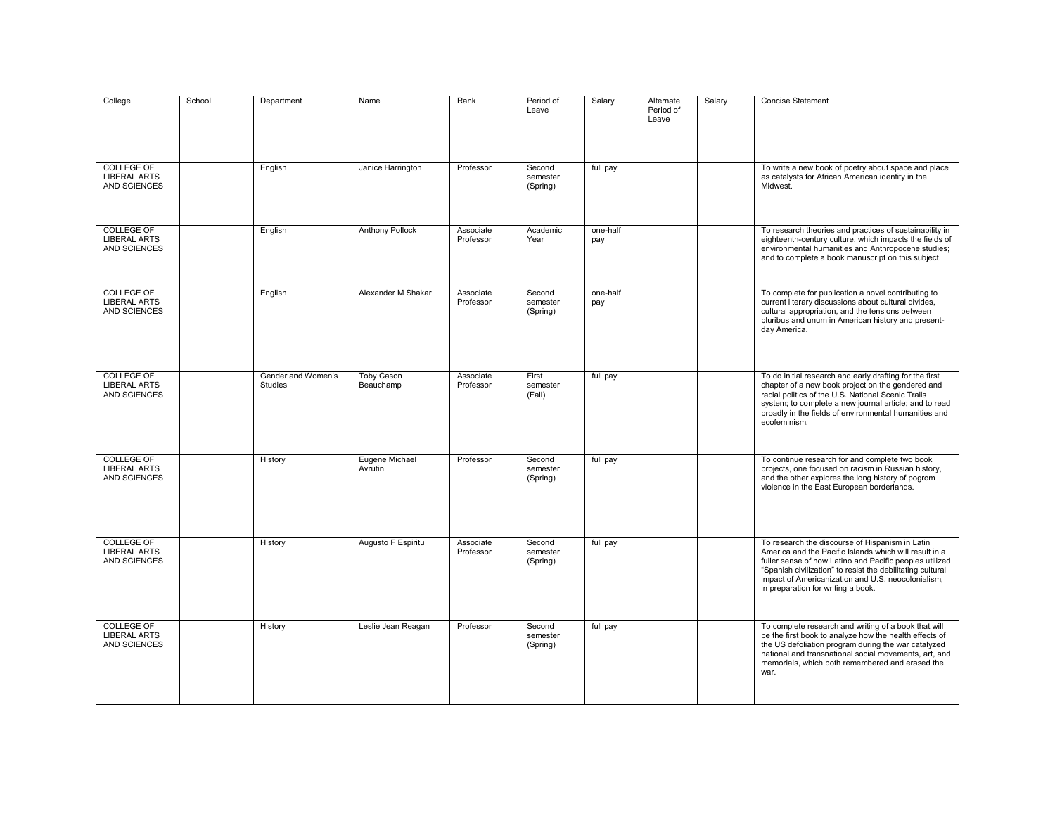| College                                                         | School | Department                           | Name                           | Rank                   | Period of<br>Leave             | Salary          | Alternate<br>Period of<br>Leave | Salary | <b>Concise Statement</b>                                                                                                                                                                                                                                                                                                       |
|-----------------------------------------------------------------|--------|--------------------------------------|--------------------------------|------------------------|--------------------------------|-----------------|---------------------------------|--------|--------------------------------------------------------------------------------------------------------------------------------------------------------------------------------------------------------------------------------------------------------------------------------------------------------------------------------|
| <b>COLLEGE OF</b><br><b>LIBERAL ARTS</b><br><b>AND SCIENCES</b> |        | English                              | Janice Harrington              | Professor              | Second<br>semester<br>(Spring) | full pay        |                                 |        | To write a new book of poetry about space and place<br>as catalysts for African American identity in the<br>Midwest.                                                                                                                                                                                                           |
| <b>COLLEGE OF</b><br><b>LIBERAL ARTS</b><br><b>AND SCIENCES</b> |        | English                              | <b>Anthony Pollock</b>         | Associate<br>Professor | Academic<br>Year               | one-half<br>pay |                                 |        | To research theories and practices of sustainability in<br>eighteenth-century culture, which impacts the fields of<br>environmental humanities and Anthropocene studies;<br>and to complete a book manuscript on this subject.                                                                                                 |
| <b>COLLEGE OF</b><br><b>LIBERAL ARTS</b><br>AND SCIENCES        |        | English                              | Alexander M Shakar             | Associate<br>Professor | Second<br>semester<br>(Spring) | one-half<br>pay |                                 |        | To complete for publication a novel contributing to<br>current literary discussions about cultural divides,<br>cultural appropriation, and the tensions between<br>pluribus and unum in American history and present-<br>day America.                                                                                          |
| <b>COLLEGE OF</b><br><b>LIBERAL ARTS</b><br><b>AND SCIENCES</b> |        | Gender and Women's<br><b>Studies</b> | <b>Toby Cason</b><br>Beauchamp | Associate<br>Professor | First<br>semester<br>(Fall)    | full pay        |                                 |        | To do initial research and early drafting for the first<br>chapter of a new book project on the gendered and<br>racial politics of the U.S. National Scenic Trails<br>system; to complete a new journal article; and to read<br>broadly in the fields of environmental humanities and<br>ecofeminism.                          |
| <b>COLLEGE OF</b><br><b>LIBERAL ARTS</b><br><b>AND SCIENCES</b> |        | History                              | Eugene Michael<br>Avrutin      | Professor              | Second<br>semester<br>(Spring) | full pay        |                                 |        | To continue research for and complete two book<br>projects, one focused on racism in Russian history,<br>and the other explores the long history of pogrom<br>violence in the East European borderlands.                                                                                                                       |
| <b>COLLEGE OF</b><br><b>LIBERAL ARTS</b><br>AND SCIENCES        |        | History                              | Augusto F Espiritu             | Associate<br>Professor | Second<br>semester<br>(Spring) | full pay        |                                 |        | To research the discourse of Hispanism in Latin<br>America and the Pacific Islands which will result in a<br>fuller sense of how Latino and Pacific peoples utilized<br>"Spanish civilization" to resist the debilitating cultural<br>impact of Americanization and U.S. neocolonialism,<br>in preparation for writing a book. |
| <b>COLLEGE OF</b><br><b>LIBERAL ARTS</b><br>AND SCIENCES        |        | History                              | Leslie Jean Reagan             | Professor              | Second<br>semester<br>(Spring) | full pay        |                                 |        | To complete research and writing of a book that will<br>be the first book to analyze how the health effects of<br>the US defoliation program during the war catalyzed<br>national and transnational social movements, art, and<br>memorials, which both remembered and erased the<br>war.                                      |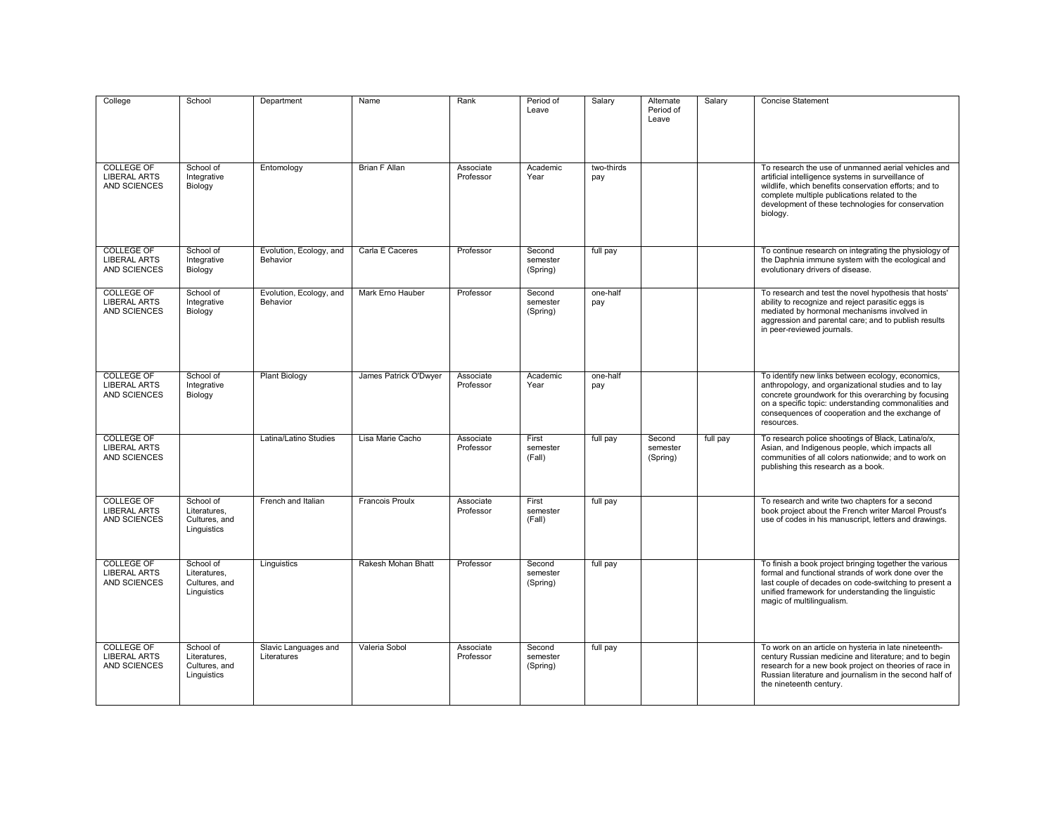| College                                                         | School                                                    | Department                          | Name                   | Rank                   | Period of<br>Leave             | Salary            | Alternate<br>Period of<br>Leave | Salary   | <b>Concise Statement</b>                                                                                                                                                                                                                                                                  |
|-----------------------------------------------------------------|-----------------------------------------------------------|-------------------------------------|------------------------|------------------------|--------------------------------|-------------------|---------------------------------|----------|-------------------------------------------------------------------------------------------------------------------------------------------------------------------------------------------------------------------------------------------------------------------------------------------|
| <b>COLLEGE OF</b><br><b>LIBERAL ARTS</b><br>AND SCIENCES        | School of<br>Integrative<br>Biology                       | Entomology                          | <b>Brian F Allan</b>   | Associate<br>Professor | Academic<br>Year               | two-thirds<br>pay |                                 |          | To research the use of unmanned aerial vehicles and<br>artificial intelligence systems in surveillance of<br>wildlife, which benefits conservation efforts; and to<br>complete multiple publications related to the<br>development of these technologies for conservation<br>biology.     |
| <b>COLLEGE OF</b><br><b>LIBERAL ARTS</b><br>AND SCIENCES        | School of<br>Integrative<br>Biology                       | Evolution, Ecology, and<br>Behavior | Carla E Caceres        | Professor              | Second<br>semester<br>(Spring) | full pay          |                                 |          | To continue research on integrating the physiology of<br>the Daphnia immune system with the ecological and<br>evolutionary drivers of disease.                                                                                                                                            |
| <b>COLLEGE OF</b><br><b>LIBERAL ARTS</b><br>AND SCIENCES        | School of<br>Integrative<br>Biology                       | Evolution, Ecology, and<br>Behavior | Mark Erno Hauber       | Professor              | Second<br>semester<br>(Spring) | one-half<br>pay   |                                 |          | To research and test the novel hypothesis that hosts'<br>ability to recognize and reject parasitic eggs is<br>mediated by hormonal mechanisms involved in<br>aggression and parental care; and to publish results<br>in peer-reviewed journals.                                           |
| COLLEGE OF<br><b>LIBERAL ARTS</b><br><b>AND SCIENCES</b>        | School of<br>Integrative<br>Biology                       | <b>Plant Biology</b>                | James Patrick O'Dwyer  | Associate<br>Professor | Academic<br>Year               | one-half<br>pay   |                                 |          | To identify new links between ecology, economics,<br>anthropology, and organizational studies and to lay<br>concrete groundwork for this overarching by focusing<br>on a specific topic: understanding commonalities and<br>consequences of cooperation and the exchange of<br>resources. |
| <b>COLLEGE OF</b><br><b>LIBERAL ARTS</b><br><b>AND SCIENCES</b> |                                                           | Latina/Latino Studies               | Lisa Marie Cacho       | Associate<br>Professor | First<br>semester<br>(Fall)    | full pay          | Second<br>semester<br>(Spring)  | full pay | To research police shootings of Black, Latina/o/x,<br>Asian, and Indigenous people, which impacts all<br>communities of all colors nationwide: and to work on<br>publishing this research as a book.                                                                                      |
| <b>COLLEGE OF</b><br><b>LIBERAL ARTS</b><br>AND SCIENCES        | School of<br>Literatures.<br>Cultures, and<br>Linguistics | French and Italian                  | <b>Francois Proulx</b> | Associate<br>Professor | First<br>semester<br>(Fall)    | full pay          |                                 |          | To research and write two chapters for a second<br>book project about the French writer Marcel Proust's<br>use of codes in his manuscript, letters and drawings.                                                                                                                          |
| COLLEGE OF<br><b>LIBERAL ARTS</b><br>AND SCIENCES               | School of<br>Literatures.<br>Cultures, and<br>Linguistics | Linguistics                         | Rakesh Mohan Bhatt     | Professor              | Second<br>semester<br>(Spring) | full pay          |                                 |          | To finish a book project bringing together the various<br>formal and functional strands of work done over the<br>last couple of decades on code-switching to present a<br>unified framework for understanding the linguistic<br>magic of multilingualism.                                 |
| <b>COLLEGE OF</b><br><b>LIBERAL ARTS</b><br>AND SCIENCES        | School of<br>Literatures.<br>Cultures, and<br>Linguistics | Slavic Languages and<br>Literatures | Valeria Sobol          | Associate<br>Professor | Second<br>semester<br>(Spring) | full pay          |                                 |          | To work on an article on hysteria in late nineteenth-<br>century Russian medicine and literature; and to begin<br>research for a new book project on theories of race in<br>Russian literature and journalism in the second half of<br>the nineteenth century.                            |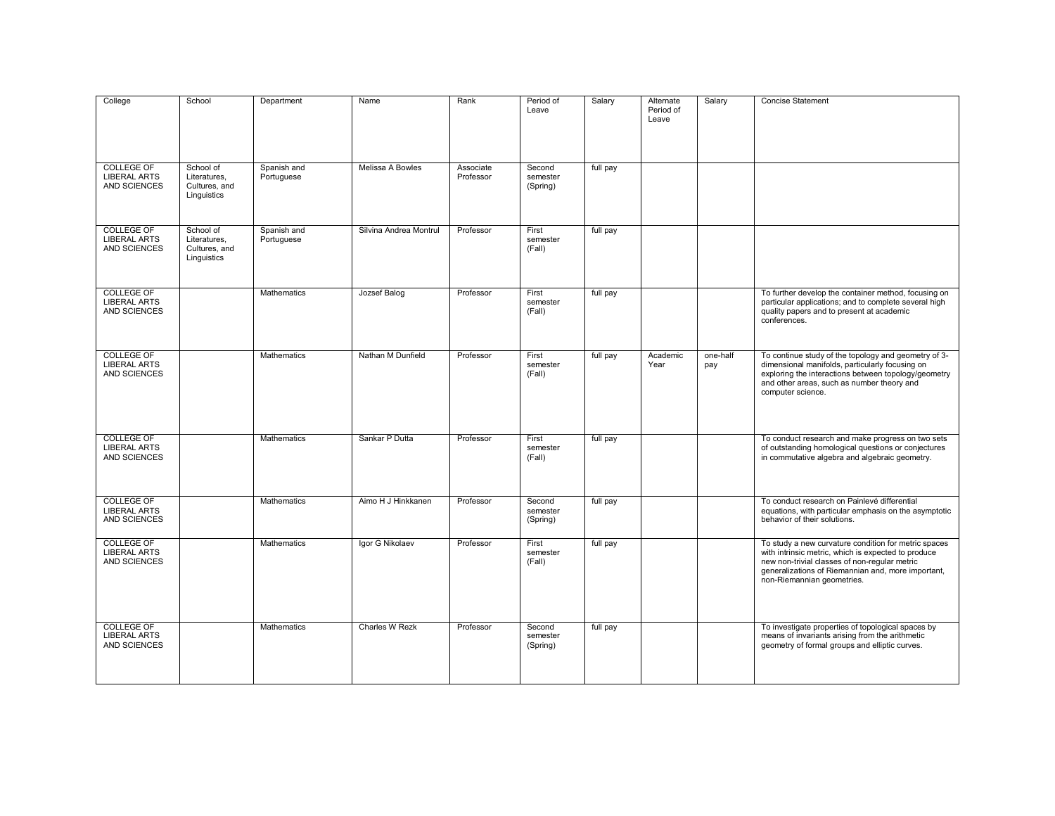| College                                                  | School                                                    | Department                | Name                   | Rank                   | Period of<br>Leave             | Salary   | Alternate<br>Period of<br>Leave | Salary          | <b>Concise Statement</b>                                                                                                                                                                                                                         |
|----------------------------------------------------------|-----------------------------------------------------------|---------------------------|------------------------|------------------------|--------------------------------|----------|---------------------------------|-----------------|--------------------------------------------------------------------------------------------------------------------------------------------------------------------------------------------------------------------------------------------------|
| <b>COLLEGE OF</b><br><b>LIBERAL ARTS</b><br>AND SCIENCES | School of<br>Literatures,<br>Cultures, and<br>Linguistics | Spanish and<br>Portuguese | Melissa A Bowles       | Associate<br>Professor | Second<br>semester<br>(Spring) | full pay |                                 |                 |                                                                                                                                                                                                                                                  |
| <b>COLLEGE OF</b><br><b>LIBERAL ARTS</b><br>AND SCIENCES | School of<br>Literatures,<br>Cultures, and<br>Linguistics | Spanish and<br>Portuguese | Silvina Andrea Montrul | Professor              | First<br>semester<br>(Fall)    | full pay |                                 |                 |                                                                                                                                                                                                                                                  |
| <b>COLLEGE OF</b><br><b>LIBERAL ARTS</b><br>AND SCIENCES |                                                           | Mathematics               | Jozsef Balog           | Professor              | First<br>semester<br>(Fall)    | full pay |                                 |                 | To further develop the container method, focusing on<br>particular applications; and to complete several high<br>quality papers and to present at academic<br>conferences.                                                                       |
| <b>COLLEGE OF</b><br><b>LIBERAL ARTS</b><br>AND SCIENCES |                                                           | Mathematics               | Nathan M Dunfield      | Professor              | First<br>semester<br>(Fall)    | full pay | Academic<br>Year                | one-half<br>pay | To continue study of the topology and geometry of 3-<br>dimensional manifolds, particularly focusing on<br>exploring the interactions between topology/geometry<br>and other areas, such as number theory and<br>computer science.               |
| <b>COLLEGE OF</b><br><b>LIBERAL ARTS</b><br>AND SCIENCES |                                                           | <b>Mathematics</b>        | Sankar P Dutta         | Professor              | First<br>semester<br>(Fall)    | full pay |                                 |                 | To conduct research and make progress on two sets<br>of outstanding homological questions or conjectures<br>in commutative algebra and algebraic geometry.                                                                                       |
| <b>COLLEGE OF</b><br><b>LIBERAL ARTS</b><br>AND SCIENCES |                                                           | <b>Mathematics</b>        | Aimo H J Hinkkanen     | Professor              | Second<br>semester<br>(Spring) | full pay |                                 |                 | To conduct research on Painlevé differential<br>equations, with particular emphasis on the asymptotic<br>behavior of their solutions.                                                                                                            |
| <b>COLLEGE OF</b><br><b>LIBERAL ARTS</b><br>AND SCIENCES |                                                           | Mathematics               | Igor G Nikolaev        | Professor              | First<br>semester<br>(Fall)    | full pay |                                 |                 | To study a new curvature condition for metric spaces<br>with intrinsic metric, which is expected to produce<br>new non-trivial classes of non-regular metric<br>generalizations of Riemannian and, more important,<br>non-Riemannian geometries. |
| <b>COLLEGE OF</b><br><b>LIBERAL ARTS</b><br>AND SCIENCES |                                                           | Mathematics               | Charles W Rezk         | Professor              | Second<br>semester<br>(Spring) | full pay |                                 |                 | To investigate properties of topological spaces by<br>means of invariants arising from the arithmetic<br>geometry of formal groups and elliptic curves.                                                                                          |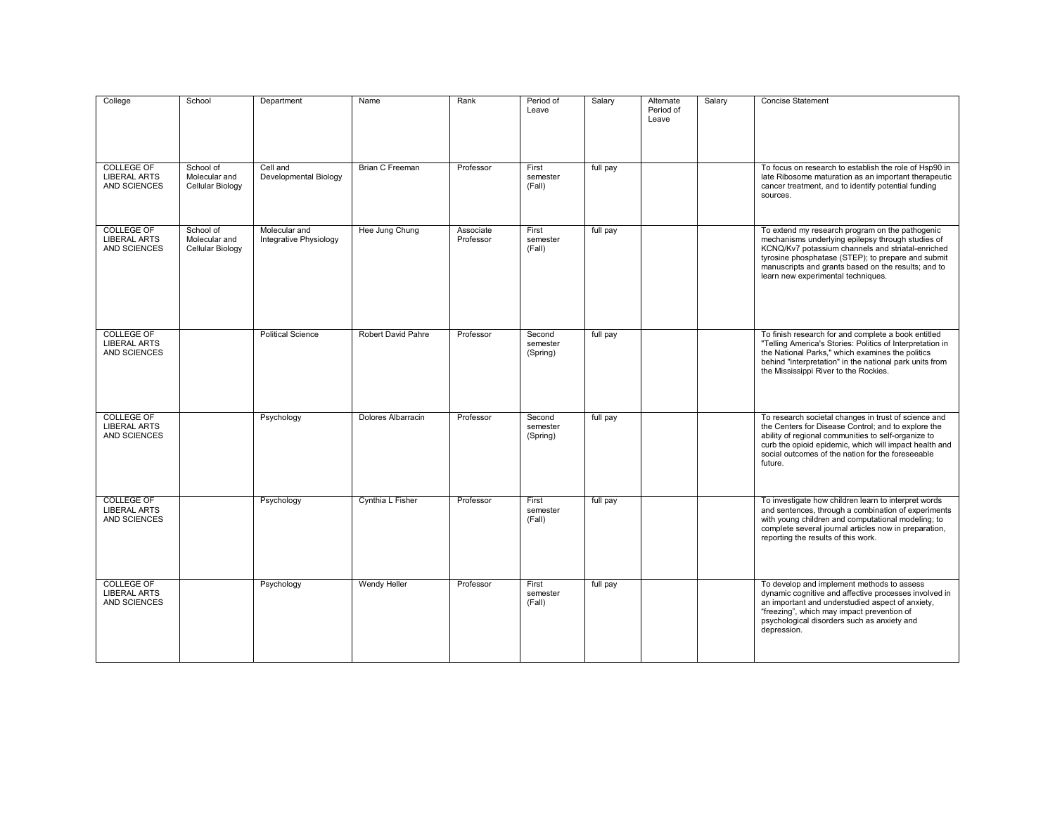| College                                                         | School                                         | Department                              | Name                   | Rank                   | Period of<br>Leave             | Salary   | Alternate<br>Period of<br>Leave | Salary | <b>Concise Statement</b>                                                                                                                                                                                                                                                                                     |
|-----------------------------------------------------------------|------------------------------------------------|-----------------------------------------|------------------------|------------------------|--------------------------------|----------|---------------------------------|--------|--------------------------------------------------------------------------------------------------------------------------------------------------------------------------------------------------------------------------------------------------------------------------------------------------------------|
| <b>COLLEGE OF</b><br><b>LIBERAL ARTS</b><br><b>AND SCIENCES</b> | School of<br>Molecular and<br>Cellular Biology | Cell and<br>Developmental Biology       | <b>Brian C Freeman</b> | Professor              | First<br>semester<br>(Fall)    | full pay |                                 |        | To focus on research to establish the role of Hsp90 in<br>late Ribosome maturation as an important therapeutic<br>cancer treatment, and to identify potential funding<br>sources.                                                                                                                            |
| <b>COLLEGE OF</b><br><b>LIBERAL ARTS</b><br><b>AND SCIENCES</b> | School of<br>Molecular and<br>Cellular Biology | Molecular and<br>Integrative Physiology | Hee Jung Chung         | Associate<br>Professor | First<br>semester<br>(Fall)    | full pay |                                 |        | To extend my research program on the pathogenic<br>mechanisms underlying epilepsy through studies of<br>KCNQ/Kv7 potassium channels and striatal-enriched<br>tyrosine phosphatase (STEP); to prepare and submit<br>manuscripts and grants based on the results; and to<br>learn new experimental techniques. |
| <b>COLLEGE OF</b><br><b>LIBERAL ARTS</b><br>AND SCIENCES        |                                                | <b>Political Science</b>                | Robert David Pahre     | Professor              | Second<br>semester<br>(Spring) | full pay |                                 |        | To finish research for and complete a book entitled<br>"Telling America's Stories: Politics of Interpretation in<br>the National Parks," which examines the politics<br>behind "interpretation" in the national park units from<br>the Mississippi River to the Rockies.                                     |
| <b>COLLEGE OF</b><br><b>LIBERAL ARTS</b><br>AND SCIENCES        |                                                | Psychology                              | Dolores Albarracin     | Professor              | Second<br>semester<br>(Spring) | full pay |                                 |        | To research societal changes in trust of science and<br>the Centers for Disease Control; and to explore the<br>ability of regional communities to self-organize to<br>curb the opioid epidemic, which will impact health and<br>social outcomes of the nation for the foreseeable<br>future.                 |
| <b>COLLEGE OF</b><br><b>LIBERAL ARTS</b><br><b>AND SCIENCES</b> |                                                | Psychology                              | Cynthia L Fisher       | Professor              | First<br>semester<br>(Fall)    | full pay |                                 |        | To investigate how children learn to interpret words<br>and sentences, through a combination of experiments<br>with young children and computational modeling; to<br>complete several journal articles now in preparation,<br>reporting the results of this work.                                            |
| COLLEGE OF<br><b>LIBERAL ARTS</b><br>AND SCIENCES               |                                                | Psychology                              | Wendy Heller           | Professor              | First<br>semester<br>(Fall)    | full pay |                                 |        | To develop and implement methods to assess<br>dynamic cognitive and affective processes involved in<br>an important and understudied aspect of anxiety,<br>"freezing", which may impact prevention of<br>psychological disorders such as anxiety and<br>depression.                                          |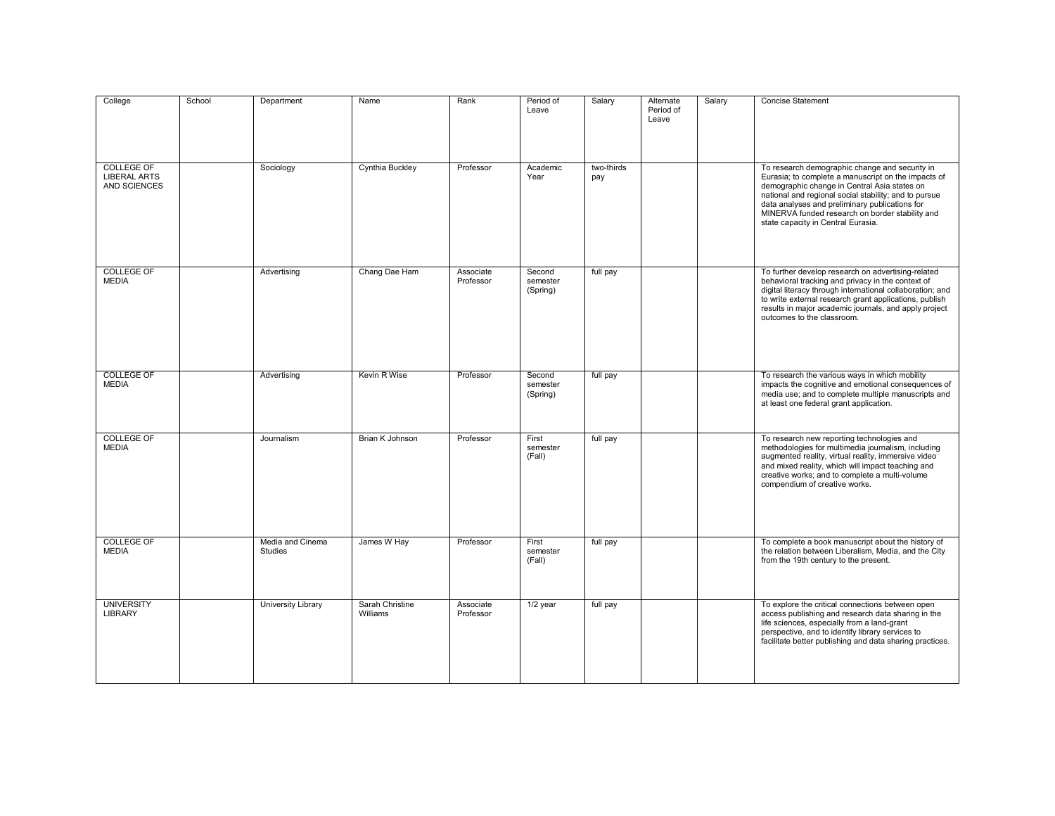| College                                                  | School | Department                         | Name                        | Rank                   | Period of<br>Leave             | Salary            | Alternate<br>Period of<br>Leave | Salary | <b>Concise Statement</b>                                                                                                                                                                                                                                                                                                                                  |
|----------------------------------------------------------|--------|------------------------------------|-----------------------------|------------------------|--------------------------------|-------------------|---------------------------------|--------|-----------------------------------------------------------------------------------------------------------------------------------------------------------------------------------------------------------------------------------------------------------------------------------------------------------------------------------------------------------|
| <b>COLLEGE OF</b><br><b>LIBERAL ARTS</b><br>AND SCIENCES |        | Sociology                          | Cynthia Buckley             | Professor              | Academic<br>Year               | two-thirds<br>pay |                                 |        | To research demographic change and security in<br>Eurasia; to complete a manuscript on the impacts of<br>demographic change in Central Asia states on<br>national and regional social stability; and to pursue<br>data analyses and preliminary publications for<br>MINERVA funded research on border stability and<br>state capacity in Central Eurasia. |
| <b>COLLEGE OF</b><br><b>MEDIA</b>                        |        | Advertising                        | Chang Dae Ham               | Associate<br>Professor | Second<br>semester<br>(Spring) | full pay          |                                 |        | To further develop research on advertising-related<br>behavioral tracking and privacy in the context of<br>digital literacy through international collaboration; and<br>to write external research grant applications, publish<br>results in major academic journals, and apply project<br>outcomes to the classroom.                                     |
| <b>COLLEGE OF</b><br><b>MEDIA</b>                        |        | Advertising                        | Kevin R Wise                | Professor              | Second<br>semester<br>(Spring) | full pay          |                                 |        | To research the various ways in which mobility<br>impacts the cognitive and emotional consequences of<br>media use; and to complete multiple manuscripts and<br>at least one federal grant application.                                                                                                                                                   |
| <b>COLLEGE OF</b><br><b>MEDIA</b>                        |        | Journalism                         | Brian K Johnson             | Professor              | First<br>semester<br>(Fall)    | full pay          |                                 |        | To research new reporting technologies and<br>methodologies for multimedia journalism, including<br>augmented reality, virtual reality, immersive video<br>and mixed reality, which will impact teaching and<br>creative works; and to complete a multi-volume<br>compendium of creative works.                                                           |
| <b>COLLEGE OF</b><br><b>MEDIA</b>                        |        | Media and Cinema<br><b>Studies</b> | James W Hay                 | Professor              | First<br>semester<br>(Fall)    | full pay          |                                 |        | To complete a book manuscript about the history of<br>the relation between Liberalism, Media, and the City<br>from the 19th century to the present.                                                                                                                                                                                                       |
| <b>UNIVERSITY</b><br><b>LIBRARY</b>                      |        | <b>University Library</b>          | Sarah Christine<br>Williams | Associate<br>Professor | $1/2$ year                     | full pay          |                                 |        | To explore the critical connections between open<br>access publishing and research data sharing in the<br>life sciences, especially from a land-grant<br>perspective, and to identify library services to<br>facilitate better publishing and data sharing practices.                                                                                     |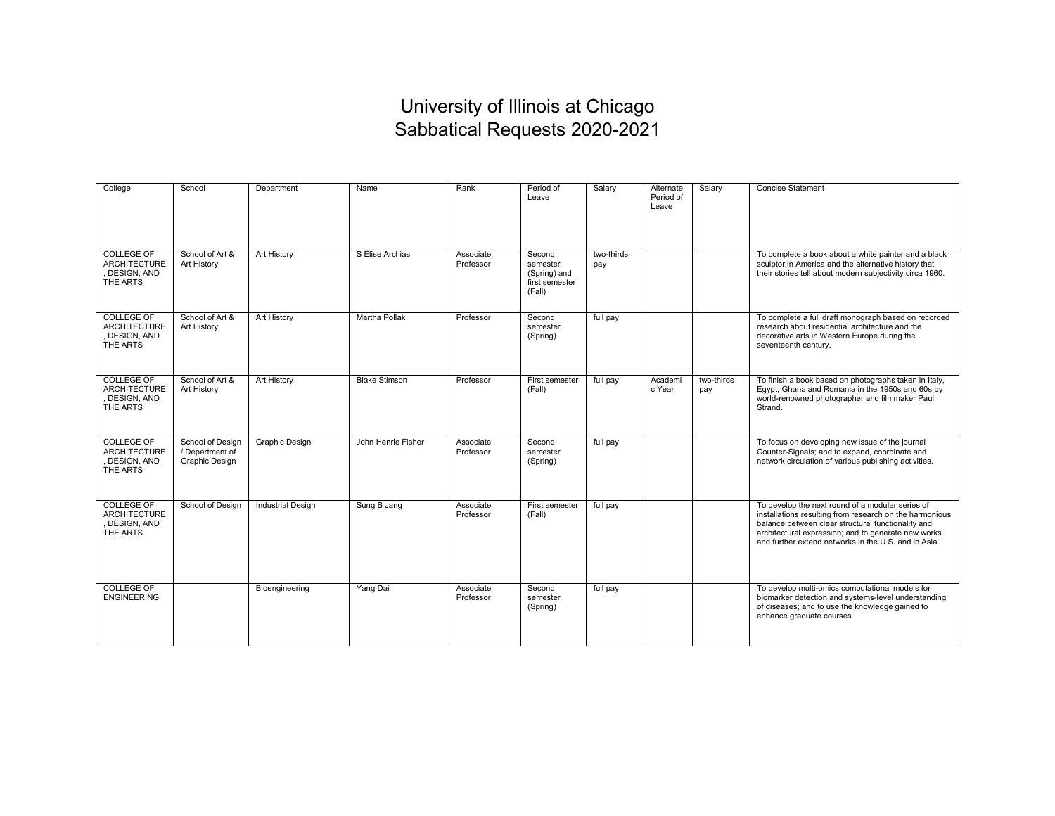## University of Illinois at Chicago Sabbatical Requests 2020-2021

| College                                                               | School                                                | Department               | Name                 | Rank                   | Period of<br>Leave                                             | Salary            | Alternate<br>Period of<br>Leave | Salary            | <b>Concise Statement</b>                                                                                                                                                                                                                                                         |
|-----------------------------------------------------------------------|-------------------------------------------------------|--------------------------|----------------------|------------------------|----------------------------------------------------------------|-------------------|---------------------------------|-------------------|----------------------------------------------------------------------------------------------------------------------------------------------------------------------------------------------------------------------------------------------------------------------------------|
| <b>COLLEGE OF</b><br><b>ARCHITECTURE</b><br>, DESIGN, AND<br>THE ARTS | School of Art &<br>Art History                        | <b>Art History</b>       | S Elise Archias      | Associate<br>Professor | Second<br>semester<br>(Spring) and<br>first semester<br>(Fall) | two-thirds<br>pay |                                 |                   | To complete a book about a white painter and a black<br>sculptor in America and the alternative history that<br>their stories tell about modern subjectivity circa 1960.                                                                                                         |
| <b>COLLEGE OF</b><br><b>ARCHITECTURE</b><br>DESIGN, AND<br>THE ARTS   | School of Art &<br>Art History                        | <b>Art History</b>       | <b>Martha Pollak</b> | Professor              | Second<br>semester<br>(Spring)                                 | full pay          |                                 |                   | To complete a full draft monograph based on recorded<br>research about residential architecture and the<br>decorative arts in Western Europe during the<br>seventeenth century.                                                                                                  |
| <b>COLLEGE OF</b><br><b>ARCHITECTURE</b><br>DESIGN, AND<br>THE ARTS   | School of Art &<br>Art History                        | <b>Art History</b>       | <b>Blake Stimson</b> | Professor              | First semester<br>(Fall)                                       | full pay          | Academi<br>c Year               | two-thirds<br>pay | To finish a book based on photographs taken in Italy,<br>Egypt, Ghana and Romania in the 1950s and 60s by<br>world-renowned photographer and filmmaker Paul<br>Strand.                                                                                                           |
| <b>COLLEGE OF</b><br><b>ARCHITECTURE</b><br>DESIGN, AND<br>THE ARTS   | School of Design<br>/ Department of<br>Graphic Design | <b>Graphic Design</b>    | John Henrie Fisher   | Associate<br>Professor | Second<br>semester<br>(Spring)                                 | full pay          |                                 |                   | To focus on developing new issue of the journal<br>Counter-Signals; and to expand, coordinate and<br>network circulation of various publishing activities.                                                                                                                       |
| <b>COLLEGE OF</b><br><b>ARCHITECTURE</b><br>DESIGN, AND<br>THE ARTS   | School of Design                                      | <b>Industrial Design</b> | Sung B Jang          | Associate<br>Professor | First semester<br>(Fall)                                       | full pay          |                                 |                   | To develop the next round of a modular series of<br>installations resulting from research on the harmonious<br>balance between clear structural functionality and<br>architectural expression; and to generate new works<br>and further extend networks in the U.S. and in Asia. |
| <b>COLLEGE OF</b><br><b>ENGINEERING</b>                               |                                                       | Bioengineering           | Yang Dai             | Associate<br>Professor | Second<br>semester<br>(Spring)                                 | full pay          |                                 |                   | To develop multi-omics computational models for<br>biomarker detection and systems-level understanding<br>of diseases; and to use the knowledge gained to<br>enhance graduate courses.                                                                                           |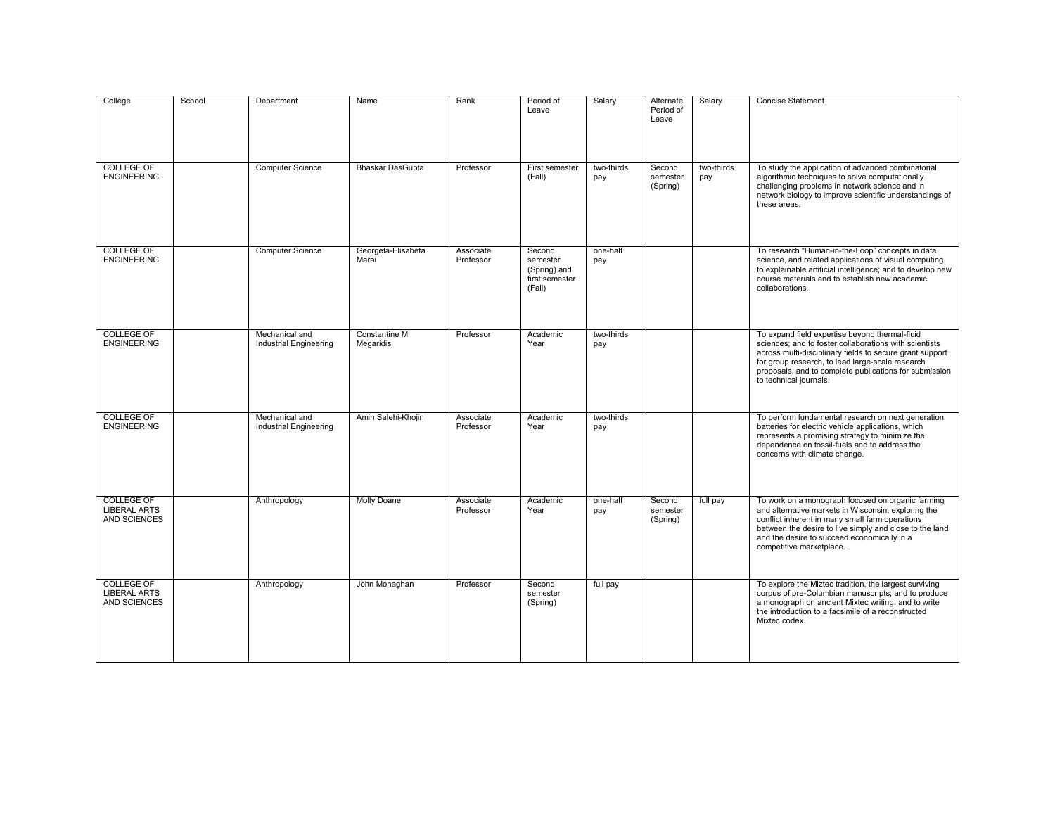| College                                                         | School | Department                                      | Name                        | Rank                   | Period of<br>Leave                                             | Salary            | Alternate<br>Period of<br>Leave | Salary            | <b>Concise Statement</b>                                                                                                                                                                                                                                                                                     |
|-----------------------------------------------------------------|--------|-------------------------------------------------|-----------------------------|------------------------|----------------------------------------------------------------|-------------------|---------------------------------|-------------------|--------------------------------------------------------------------------------------------------------------------------------------------------------------------------------------------------------------------------------------------------------------------------------------------------------------|
| <b>COLLEGE OF</b><br><b>ENGINEERING</b>                         |        | <b>Computer Science</b>                         | Bhaskar DasGupta            | Professor              | First semester<br>(Fall)                                       | two-thirds<br>pay | Second<br>semester<br>(Spring)  | two-thirds<br>pay | To study the application of advanced combinatorial<br>algorithmic techniques to solve computationally<br>challenging problems in network science and in<br>network biology to improve scientific understandings of<br>these areas.                                                                           |
| <b>COLLEGE OF</b><br><b>ENGINEERING</b>                         |        | <b>Computer Science</b>                         | Georgeta-Elisabeta<br>Marai | Associate<br>Professor | Second<br>semester<br>(Spring) and<br>first semester<br>(Fall) | one-half<br>pay   |                                 |                   | To research "Human-in-the-Loop" concepts in data<br>science, and related applications of visual computing<br>to explainable artificial intelligence; and to develop new<br>course materials and to establish new academic<br>collaborations.                                                                 |
| <b>COLLEGE OF</b><br><b>ENGINEERING</b>                         |        | Mechanical and<br>Industrial Engineering        | Constantine M<br>Megaridis  | Professor              | Academic<br>Year                                               | two-thirds<br>pay |                                 |                   | To expand field expertise beyond thermal-fluid<br>sciences; and to foster collaborations with scientists<br>across multi-disciplinary fields to secure grant support<br>for group research, to lead large-scale research<br>proposals, and to complete publications for submission<br>to technical journals. |
| <b>COLLEGE OF</b><br><b>ENGINEERING</b>                         |        | Mechanical and<br><b>Industrial Engineering</b> | Amin Salehi-Khojin          | Associate<br>Professor | Academic<br>Year                                               | two-thirds<br>pay |                                 |                   | To perform fundamental research on next generation<br>batteries for electric vehicle applications, which<br>represents a promising strategy to minimize the<br>dependence on fossil-fuels and to address the<br>concerns with climate change.                                                                |
| <b>COLLEGE OF</b><br><b>LIBERAL ARTS</b><br><b>AND SCIENCES</b> |        | Anthropology                                    | <b>Molly Doane</b>          | Associate<br>Professor | Academic<br>Year                                               | one-half<br>pay   | Second<br>semester<br>(Spring)  | full pay          | To work on a monograph focused on organic farming<br>and alternative markets in Wisconsin, exploring the<br>conflict inherent in many small farm operations<br>between the desire to live simply and close to the land<br>and the desire to succeed economically in a<br>competitive marketplace.            |
| COLLEGE OF<br><b>LIBERAL ARTS</b><br><b>AND SCIENCES</b>        |        | Anthropology                                    | John Monaghan               | Professor              | Second<br>semester<br>(Spring)                                 | full pay          |                                 |                   | To explore the Miztec tradition, the largest surviving<br>corpus of pre-Columbian manuscripts; and to produce<br>a monograph on ancient Mixtec writing, and to write<br>the introduction to a facsimile of a reconstructed<br>Mixtec codex.                                                                  |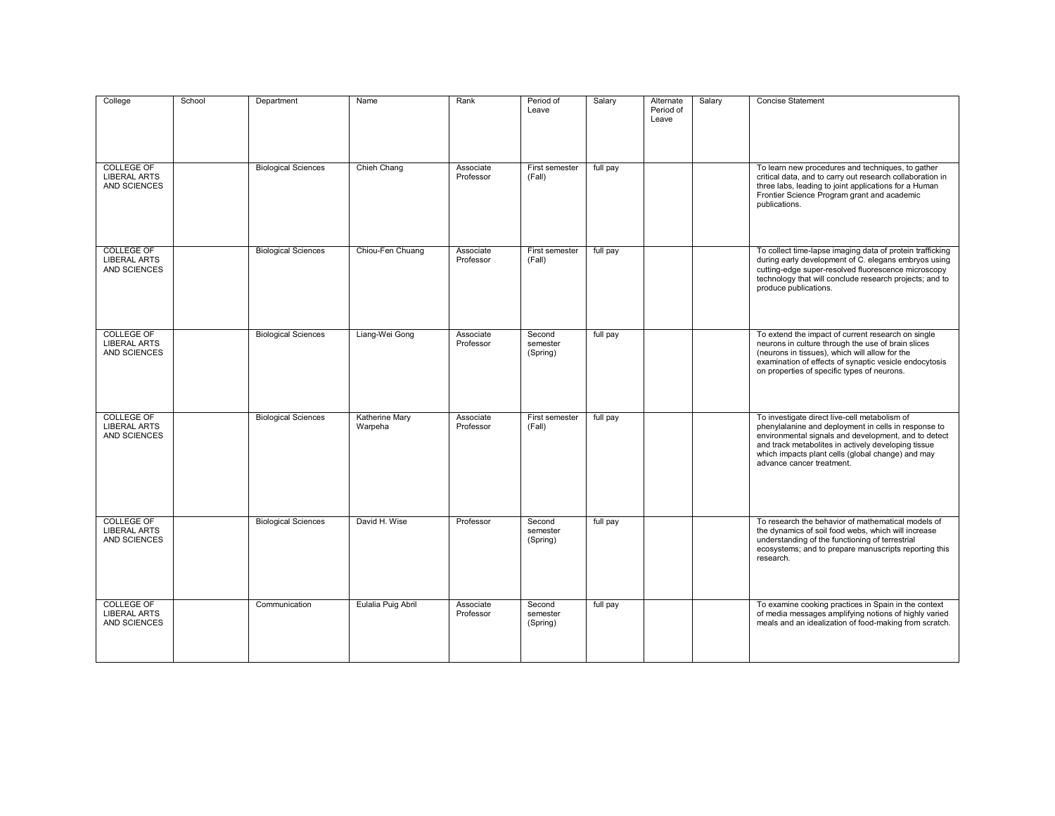| College                                                         | School | Department                 | Name                      | Rank                   | Period of<br>Leave             | Salary   | Alternate<br>Period of<br>Leave | Salary | <b>Concise Statement</b>                                                                                                                                                                                                                                                                               |
|-----------------------------------------------------------------|--------|----------------------------|---------------------------|------------------------|--------------------------------|----------|---------------------------------|--------|--------------------------------------------------------------------------------------------------------------------------------------------------------------------------------------------------------------------------------------------------------------------------------------------------------|
| <b>COLLEGE OF</b><br><b>LIBERAL ARTS</b><br>AND SCIENCES        |        | <b>Biological Sciences</b> | Chieh Chang               | Associate<br>Professor | First semester<br>(Fall)       | full pay |                                 |        | To learn new procedures and techniques, to gather<br>critical data, and to carry out research collaboration in<br>three labs, leading to joint applications for a Human<br>Frontier Science Program grant and academic<br>publications.                                                                |
| <b>COLLEGE OF</b><br><b>LIBERAL ARTS</b><br>AND SCIENCES        |        | <b>Biological Sciences</b> | Chiou-Fen Chuang          | Associate<br>Professor | First semester<br>(Fall)       | full pay |                                 |        | To collect time-lapse imaging data of protein trafficking<br>during early development of C. elegans embryos using<br>cutting-edge super-resolved fluorescence microscopy<br>technology that will conclude research projects; and to<br>produce publications.                                           |
| <b>COLLEGE OF</b><br><b>LIBERAL ARTS</b><br><b>AND SCIENCES</b> |        | <b>Biological Sciences</b> | Liang-Wei Gong            | Associate<br>Professor | Second<br>semester<br>(Spring) | full pay |                                 |        | To extend the impact of current research on single<br>neurons in culture through the use of brain slices<br>(neurons in tissues), which will allow for the<br>examination of effects of synaptic vesicle endocytosis<br>on properties of specific types of neurons.                                    |
| <b>COLLEGE OF</b><br><b>LIBERAL ARTS</b><br><b>AND SCIENCES</b> |        | <b>Biological Sciences</b> | Katherine Mary<br>Warpeha | Associate<br>Professor | First semester<br>(Fall)       | full pay |                                 |        | To investigate direct live-cell metabolism of<br>phenylalanine and deployment in cells in response to<br>environmental signals and development, and to detect<br>and track metabolites in actively developing tissue<br>which impacts plant cells (global change) and may<br>advance cancer treatment. |
| <b>COLLEGE OF</b><br><b>LIBERAL ARTS</b><br><b>AND SCIENCES</b> |        | <b>Biological Sciences</b> | David H. Wise             | Professor              | Second<br>semester<br>(Spring) | full pay |                                 |        | To research the behavior of mathematical models of<br>the dynamics of soil food webs, which will increase<br>understanding of the functioning of terrestrial<br>ecosystems; and to prepare manuscripts reporting this<br>research.                                                                     |
| <b>COLLEGE OF</b><br><b>LIBERAL ARTS</b><br>AND SCIENCES        |        | Communication              | Eulalia Puig Abril        | Associate<br>Professor | Second<br>semester<br>(Spring) | full pay |                                 |        | To examine cooking practices in Spain in the context<br>of media messages amplifying notions of highly varied<br>meals and an idealization of food-making from scratch.                                                                                                                                |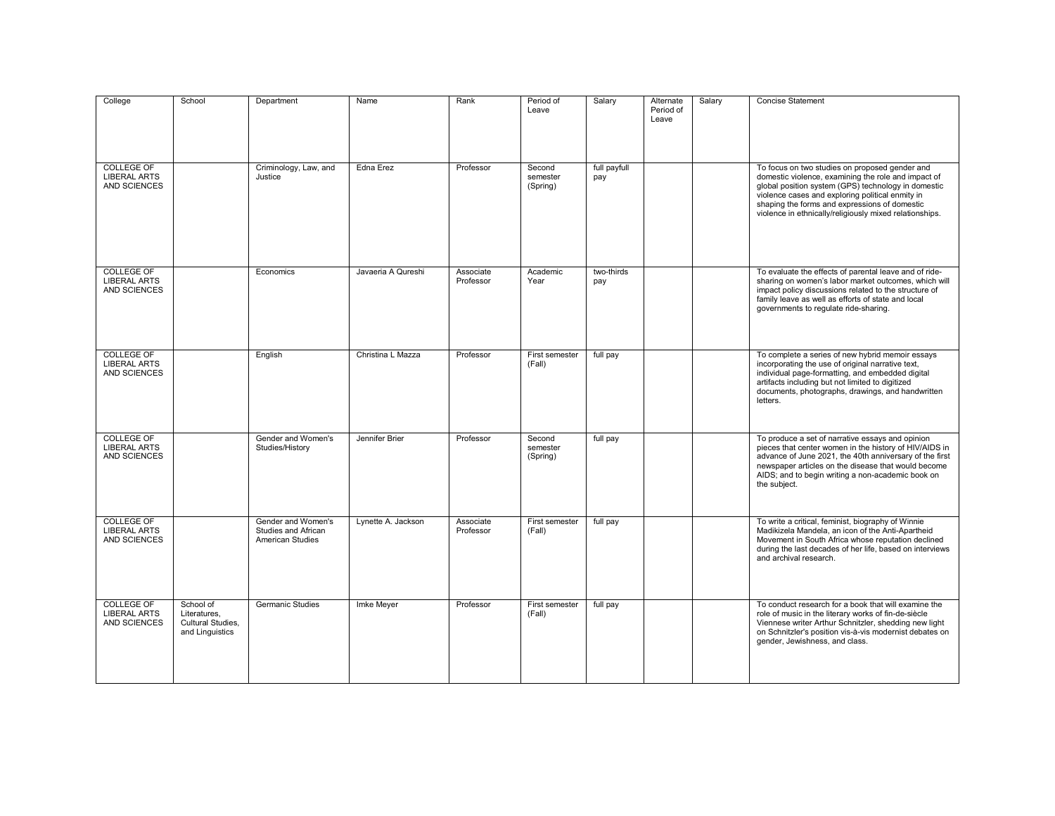| College                                                  | School                                                            | Department                                                           | Name               | Rank                   | Period of<br>Leave             | Salary              | Alternate<br>Period of<br>Leave | Salary | <b>Concise Statement</b>                                                                                                                                                                                                                                                                          |
|----------------------------------------------------------|-------------------------------------------------------------------|----------------------------------------------------------------------|--------------------|------------------------|--------------------------------|---------------------|---------------------------------|--------|---------------------------------------------------------------------------------------------------------------------------------------------------------------------------------------------------------------------------------------------------------------------------------------------------|
| <b>COLLEGE OF</b><br><b>LIBERAL ARTS</b>                 |                                                                   | Criminology, Law, and<br>Justice                                     | Edna Erez          | Professor              | Second<br>semester             | full payfull<br>pay |                                 |        | To focus on two studies on proposed gender and<br>domestic violence, examining the role and impact of                                                                                                                                                                                             |
| AND SCIENCES                                             |                                                                   |                                                                      |                    |                        | (Spring)                       |                     |                                 |        | global position system (GPS) technology in domestic<br>violence cases and exploring political enmity in<br>shaping the forms and expressions of domestic<br>violence in ethnically/religiously mixed relationships.                                                                               |
| <b>COLLEGE OF</b><br><b>LIBERAL ARTS</b><br>AND SCIENCES |                                                                   | Economics                                                            | Javaeria A Qureshi | Associate<br>Professor | Academic<br>Year               | two-thirds<br>pay   |                                 |        | To evaluate the effects of parental leave and of ride-<br>sharing on women's labor market outcomes, which will<br>impact policy discussions related to the structure of<br>family leave as well as efforts of state and local<br>governments to regulate ride-sharing.                            |
| <b>COLLEGE OF</b><br><b>LIBERAL ARTS</b><br>AND SCIENCES |                                                                   | English                                                              | Christina L Mazza  | Professor              | First semester<br>(Fall)       | full pay            |                                 |        | To complete a series of new hybrid memoir essays<br>incorporating the use of original narrative text,<br>individual page-formatting, and embedded digital<br>artifacts including but not limited to digitized<br>documents, photographs, drawings, and handwritten<br>letters.                    |
| <b>COLLEGE OF</b><br><b>LIBERAL ARTS</b><br>AND SCIENCES |                                                                   | Gender and Women's<br>Studies/History                                | Jennifer Brier     | Professor              | Second<br>semester<br>(Spring) | full pay            |                                 |        | To produce a set of narrative essays and opinion<br>pieces that center women in the history of HIV/AIDS in<br>advance of June 2021, the 40th anniversary of the first<br>newspaper articles on the disease that would become<br>AIDS; and to begin writing a non-academic book on<br>the subject. |
| <b>COLLEGE OF</b><br><b>LIBERAL ARTS</b><br>AND SCIENCES |                                                                   | Gender and Women's<br>Studies and African<br><b>American Studies</b> | Lynette A. Jackson | Associate<br>Professor | First semester<br>(Fall)       | full pay            |                                 |        | To write a critical, feminist, biography of Winnie<br>Madikizela Mandela, an icon of the Anti-Apartheid<br>Movement in South Africa whose reputation declined<br>during the last decades of her life, based on interviews<br>and archival research.                                               |
| <b>COLLEGE OF</b><br><b>LIBERAL ARTS</b><br>AND SCIENCES | School of<br>Literatures,<br>Cultural Studies,<br>and Linguistics | <b>Germanic Studies</b>                                              | Imke Meyer         | Professor              | First semester<br>(Fall)       | full pay            |                                 |        | To conduct research for a book that will examine the<br>role of music in the literary works of fin-de-siècle<br>Viennese writer Arthur Schnitzler, shedding new light<br>on Schnitzler's position vis-à-vis modernist debates on<br>gender, Jewishness, and class.                                |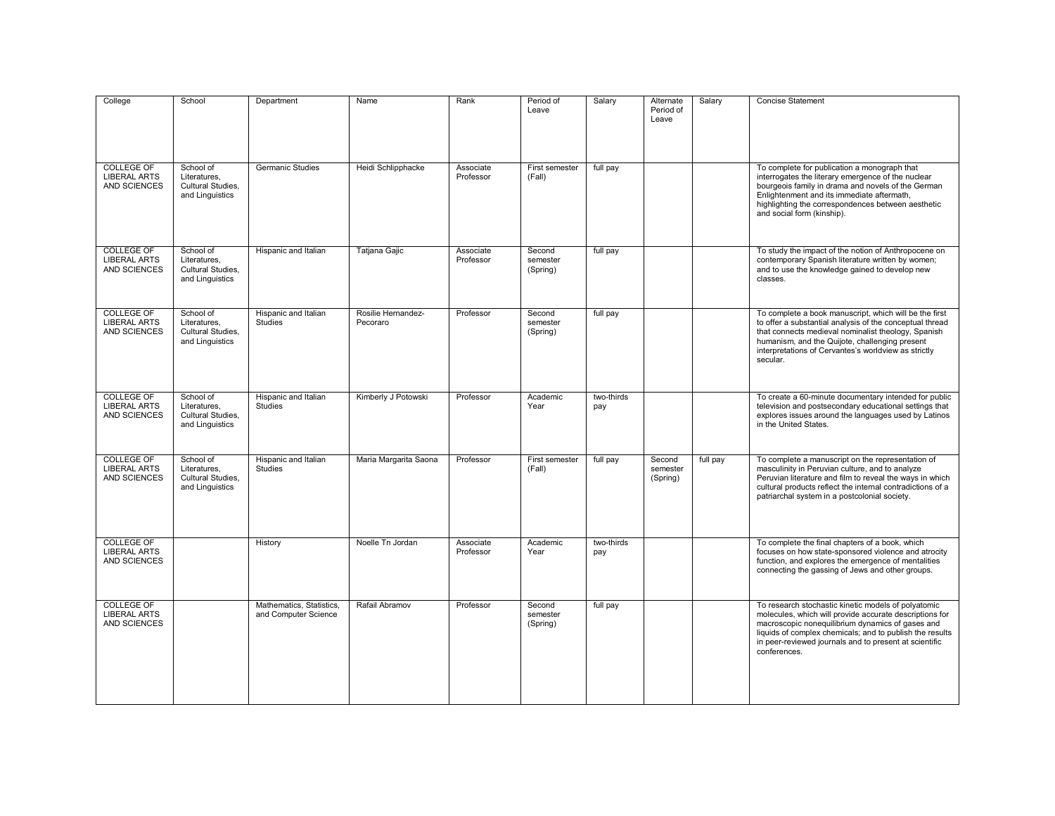| College                                                         | School                                                            | Department                                       | Name                           | Rank                   | Period of<br>Leave             | Salary            | Alternate<br>Period of<br>Leave | Salary   | <b>Concise Statement</b>                                                                                                                                                                                                                                                                                 |
|-----------------------------------------------------------------|-------------------------------------------------------------------|--------------------------------------------------|--------------------------------|------------------------|--------------------------------|-------------------|---------------------------------|----------|----------------------------------------------------------------------------------------------------------------------------------------------------------------------------------------------------------------------------------------------------------------------------------------------------------|
| <b>COLLEGE OF</b><br><b>LIBERAL ARTS</b><br><b>AND SCIENCES</b> | School of<br>Literatures.<br>Cultural Studies,<br>and Linguistics | <b>Germanic Studies</b>                          | Heidi Schlipphacke             | Associate<br>Professor | First semester<br>(Fall)       | full pay          |                                 |          | To complete for publication a monograph that<br>interrogates the literary emergence of the nuclear<br>bourgeois family in drama and novels of the German<br>Enlightenment and its immediate aftermath,<br>highlighting the correspondences between aesthetic<br>and social form (kinship).               |
| <b>COLLEGE OF</b><br><b>LIBERAL ARTS</b><br>AND SCIENCES        | School of<br>Literatures.<br>Cultural Studies,<br>and Linguistics | Hispanic and Italian                             | Tatjana Gajic                  | Associate<br>Professor | Second<br>semester<br>(Spring) | full pay          |                                 |          | To study the impact of the notion of Anthropocene on<br>contemporary Spanish literature written by women;<br>and to use the knowledge gained to develop new<br>classes.                                                                                                                                  |
| COLLEGE OF<br><b>LIBERAL ARTS</b><br>AND SCIENCES               | School of<br>Literatures.<br>Cultural Studies,<br>and Linguistics | Hispanic and Italian<br>Studies                  | Rosilie Hernandez-<br>Pecoraro | Professor              | Second<br>semester<br>(Spring) | full pay          |                                 |          | To complete a book manuscript, which will be the first<br>to offer a substantial analysis of the conceptual thread<br>that connects medieval nominalist theology, Spanish<br>humanism, and the Quijote, challenging present<br>interpretations of Cervantes's worldview as strictly<br>secular.          |
| <b>COLLEGE OF</b><br><b>LIBERAL ARTS</b><br>AND SCIENCES        | School of<br>Literatures.<br>Cultural Studies,<br>and Linguistics | Hispanic and Italian<br><b>Studies</b>           | Kimberly J Potowski            | Professor              | Academic<br>Year               | two-thirds<br>pay |                                 |          | To create a 60-minute documentary intended for public<br>television and postsecondary educational settings that<br>explores issues around the languages used by Latinos<br>in the United States.                                                                                                         |
| COLLEGE OF<br><b>LIBERAL ARTS</b><br>AND SCIENCES               | School of<br>Literatures,<br>Cultural Studies,<br>and Linguistics | Hispanic and Italian<br>Studies                  | Maria Margarita Saona          | Professor              | First semester<br>(Fall)       | full pay          | Second<br>semester<br>(Spring)  | full pay | To complete a manuscript on the representation of<br>masculinity in Peruvian culture, and to analyze<br>Peruvian literature and film to reveal the ways in which<br>cultural products reflect the internal contradictions of a<br>patriarchal system in a postcolonial society.                          |
| <b>COLLEGE OF</b><br><b>LIBERAL ARTS</b><br>AND SCIENCES        |                                                                   | History                                          | Noelle Tn Jordan               | Associate<br>Professor | Academic<br>Year               | two-thirds<br>pay |                                 |          | To complete the final chapters of a book, which<br>focuses on how state-sponsored violence and atrocity<br>function, and explores the emergence of mentalities<br>connecting the gassing of Jews and other groups.                                                                                       |
| <b>COLLEGE OF</b><br><b>LIBERAL ARTS</b><br><b>AND SCIENCES</b> |                                                                   | Mathematics, Statistics,<br>and Computer Science | Rafail Abramov                 | Professor              | Second<br>semester<br>(Spring) | full pay          |                                 |          | To research stochastic kinetic models of polyatomic<br>molecules, which will provide accurate descriptions for<br>macroscopic nonequilibrium dynamics of gases and<br>liquids of complex chemicals; and to publish the results<br>in peer-reviewed journals and to present at scientific<br>conferences. |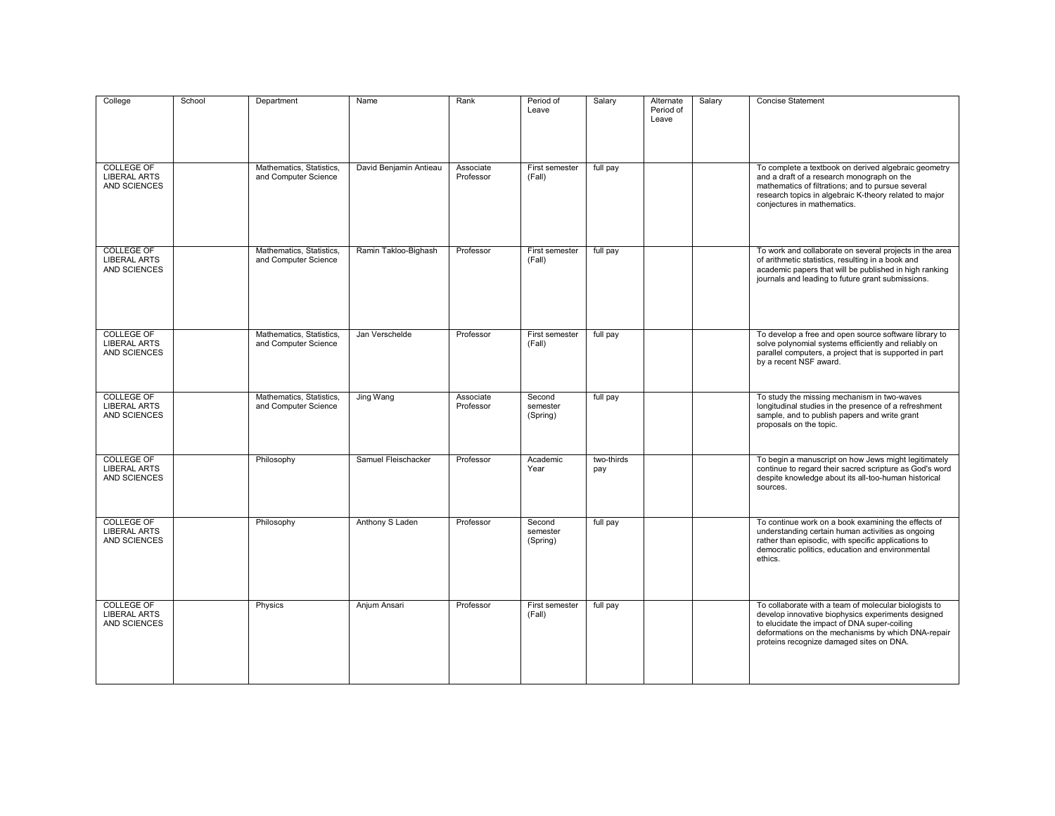| College                                                         | School | Department                                       | Name                   | Rank                   | Period of<br>Leave             | Salary            | Alternate<br>Period of<br>Leave | Salary | <b>Concise Statement</b>                                                                                                                                                                                                                                      |
|-----------------------------------------------------------------|--------|--------------------------------------------------|------------------------|------------------------|--------------------------------|-------------------|---------------------------------|--------|---------------------------------------------------------------------------------------------------------------------------------------------------------------------------------------------------------------------------------------------------------------|
| <b>COLLEGE OF</b><br><b>LIBERAL ARTS</b><br>AND SCIENCES        |        | Mathematics, Statistics,<br>and Computer Science | David Benjamin Antieau | Associate<br>Professor | First semester<br>(Fall)       | full pay          |                                 |        | To complete a textbook on derived algebraic geometry<br>and a draft of a research monograph on the<br>mathematics of filtrations; and to pursue several<br>research topics in algebraic K-theory related to major<br>conjectures in mathematics.              |
| <b>COLLEGE OF</b><br><b>LIBERAL ARTS</b><br>AND SCIENCES        |        | Mathematics, Statistics,<br>and Computer Science | Ramin Takloo-Bighash   | Professor              | First semester<br>(Fall)       | full pay          |                                 |        | To work and collaborate on several projects in the area<br>of arithmetic statistics, resulting in a book and<br>academic papers that will be published in high ranking<br>journals and leading to future grant submissions.                                   |
| <b>COLLEGE OF</b><br><b>LIBERAL ARTS</b><br><b>AND SCIENCES</b> |        | Mathematics, Statistics,<br>and Computer Science | Jan Verschelde         | Professor              | First semester<br>(Fall)       | full pay          |                                 |        | To develop a free and open source software library to<br>solve polynomial systems efficiently and reliably on<br>parallel computers, a project that is supported in part<br>by a recent NSF award.                                                            |
| <b>COLLEGE OF</b><br><b>LIBERAL ARTS</b><br><b>AND SCIENCES</b> |        | Mathematics, Statistics,<br>and Computer Science | Jing Wang              | Associate<br>Professor | Second<br>semester<br>(Spring) | full pay          |                                 |        | To study the missing mechanism in two-waves<br>longitudinal studies in the presence of a refreshment<br>sample, and to publish papers and write grant<br>proposals on the topic.                                                                              |
| <b>COLLEGE OF</b><br><b>LIBERAL ARTS</b><br><b>AND SCIENCES</b> |        | Philosophy                                       | Samuel Fleischacker    | Professor              | Academic<br>Year               | two-thirds<br>pay |                                 |        | To begin a manuscript on how Jews might legitimately<br>continue to regard their sacred scripture as God's word<br>despite knowledge about its all-too-human historical<br>sources.                                                                           |
| <b>COLLEGE OF</b><br><b>LIBERAL ARTS</b><br>AND SCIENCES        |        | Philosophy                                       | Anthony S Laden        | Professor              | Second<br>semester<br>(Spring) | full pay          |                                 |        | To continue work on a book examining the effects of<br>understanding certain human activities as ongoing<br>rather than episodic, with specific applications to<br>democratic politics, education and environmental<br>ethics.                                |
| <b>COLLEGE OF</b><br><b>LIBERAL ARTS</b><br>AND SCIENCES        |        | Physics                                          | Anjum Ansari           | Professor              | First semester<br>(Fall)       | full pay          |                                 |        | To collaborate with a team of molecular biologists to<br>develop innovative biophysics experiments designed<br>to elucidate the impact of DNA super-coiling<br>deformations on the mechanisms by which DNA-repair<br>proteins recognize damaged sites on DNA. |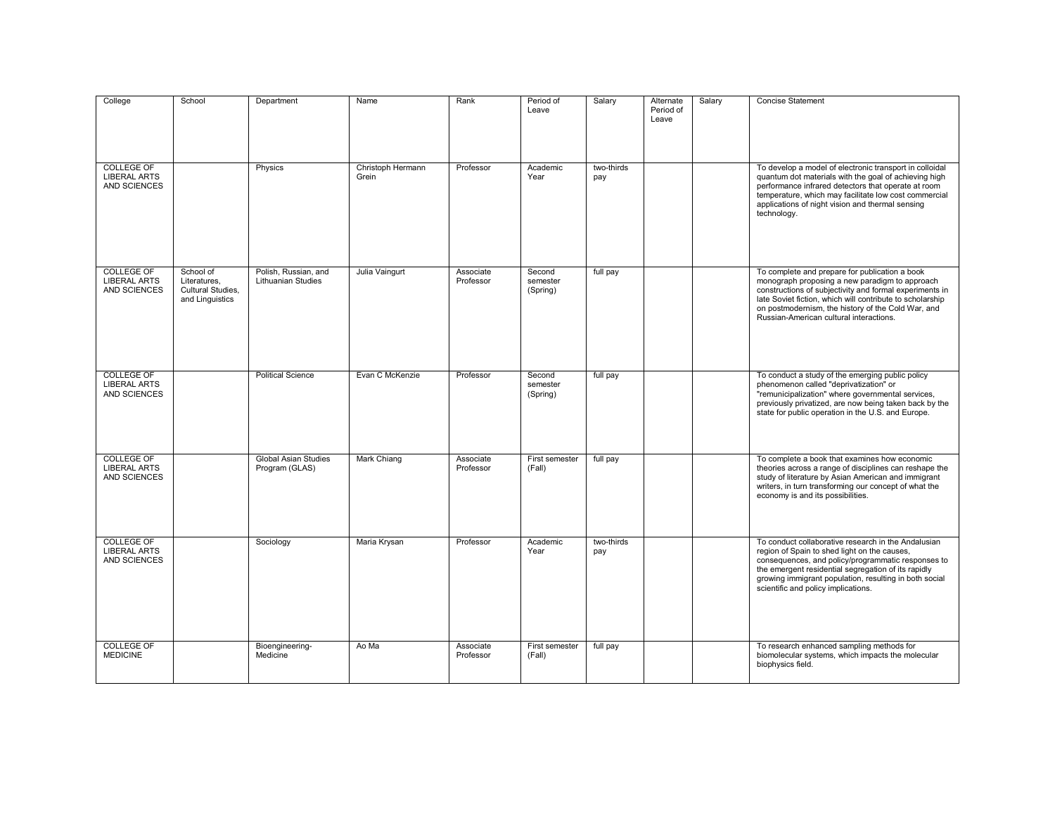| College                                                         | School                                                            | Department                                        | Name              | Rank                   | Period of<br>Leave             | Salary            | Alternate<br>Period of<br>Leave | Salary | <b>Concise Statement</b>                                                                                                                                                                                                                                                                                                  |
|-----------------------------------------------------------------|-------------------------------------------------------------------|---------------------------------------------------|-------------------|------------------------|--------------------------------|-------------------|---------------------------------|--------|---------------------------------------------------------------------------------------------------------------------------------------------------------------------------------------------------------------------------------------------------------------------------------------------------------------------------|
| COLLEGE OF                                                      |                                                                   | Physics                                           | Christoph Hermann | Professor              | Academic                       | two-thirds        |                                 |        | To develop a model of electronic transport in colloidal                                                                                                                                                                                                                                                                   |
| <b>LIBERAL ARTS</b><br>AND SCIENCES                             |                                                                   |                                                   | Grein             |                        | Year                           | pay               |                                 |        | quantum dot materials with the goal of achieving high<br>performance infrared detectors that operate at room<br>temperature, which may facilitate low cost commercial<br>applications of night vision and thermal sensing<br>technology.                                                                                  |
| <b>COLLEGE OF</b><br><b>LIBERAL ARTS</b><br>AND SCIENCES        | School of<br>Literatures.<br>Cultural Studies.<br>and Linguistics | Polish, Russian, and<br><b>Lithuanian Studies</b> | Julia Vaingurt    | Associate<br>Professor | Second<br>semester<br>(Spring) | full pay          |                                 |        | To complete and prepare for publication a book<br>monograph proposing a new paradigm to approach<br>constructions of subjectivity and formal experiments in<br>late Soviet fiction, which will contribute to scholarship<br>on postmodernism, the history of the Cold War, and<br>Russian-American cultural interactions. |
| <b>COLLEGE OF</b><br><b>LIBERAL ARTS</b><br><b>AND SCIENCES</b> |                                                                   | <b>Political Science</b>                          | Evan C McKenzie   | Professor              | Second<br>semester<br>(Spring) | full pay          |                                 |        | To conduct a study of the emerging public policy<br>phenomenon called "deprivatization" or<br>"remunicipalization" where governmental services,<br>previously privatized, are now being taken back by the<br>state for public operation in the U.S. and Europe.                                                           |
| <b>COLLEGE OF</b><br><b>LIBERAL ARTS</b><br>AND SCIENCES        |                                                                   | <b>Global Asian Studies</b><br>Program (GLAS)     | Mark Chiang       | Associate<br>Professor | First semester<br>(Fall)       | full pay          |                                 |        | To complete a book that examines how economic<br>theories across a range of disciplines can reshape the<br>study of literature by Asian American and immigrant<br>writers, in turn transforming our concept of what the<br>economy is and its possibilities.                                                              |
| <b>COLLEGE OF</b><br><b>LIBERAL ARTS</b><br>AND SCIENCES        |                                                                   | Sociology                                         | Maria Krysan      | Professor              | Academic<br>Year               | two-thirds<br>pay |                                 |        | To conduct collaborative research in the Andalusian<br>region of Spain to shed light on the causes,<br>consequences, and policy/programmatic responses to<br>the emergent residential segregation of its rapidly<br>growing immigrant population, resulting in both social<br>scientific and policy implications.         |
| <b>COLLEGE OF</b><br><b>MEDICINE</b>                            |                                                                   | Bioengineering-<br>Medicine                       | Ao Ma             | Associate<br>Professor | First semester<br>(Fall)       | full pay          |                                 |        | To research enhanced sampling methods for<br>biomolecular systems, which impacts the molecular<br>biophysics field.                                                                                                                                                                                                       |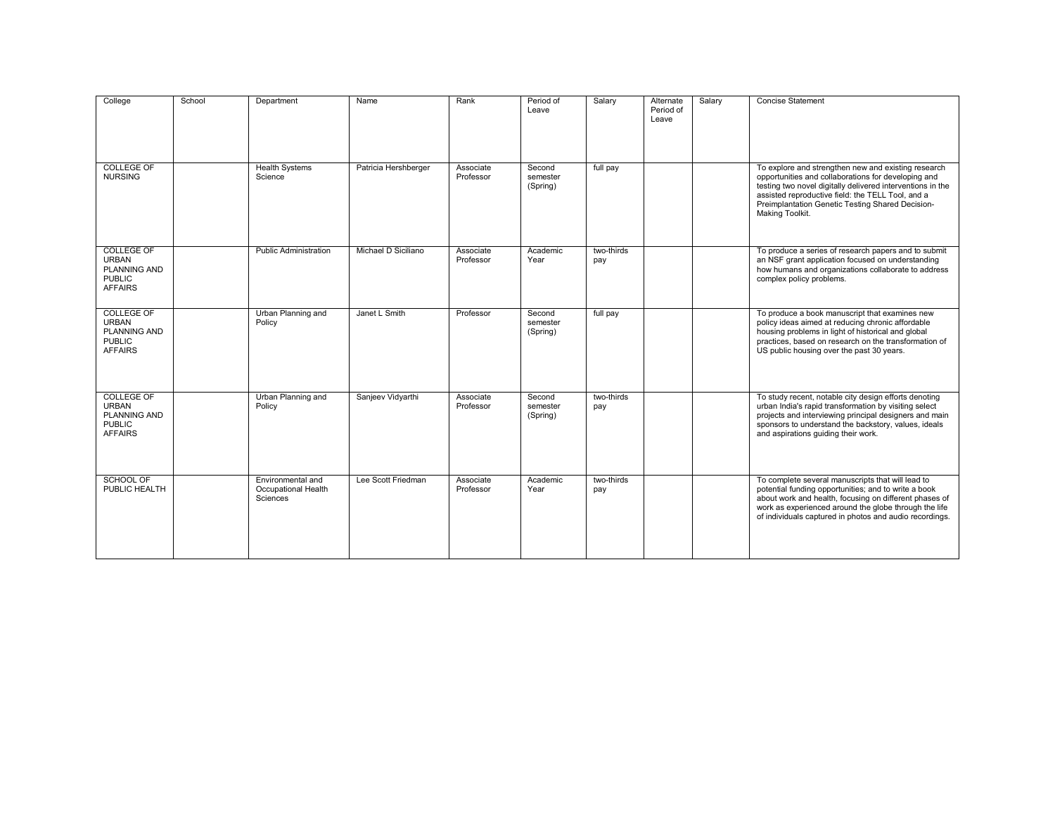| College                                                                                     | School | Department                                                  | Name                 | Rank                   | Period of<br>Leave             | Salary            | Alternate<br>Period of<br>Leave | Salary | <b>Concise Statement</b>                                                                                                                                                                                                                                                                             |
|---------------------------------------------------------------------------------------------|--------|-------------------------------------------------------------|----------------------|------------------------|--------------------------------|-------------------|---------------------------------|--------|------------------------------------------------------------------------------------------------------------------------------------------------------------------------------------------------------------------------------------------------------------------------------------------------------|
| <b>COLLEGE OF</b><br><b>NURSING</b>                                                         |        | <b>Health Systems</b><br>Science                            | Patricia Hershberger | Associate<br>Professor | Second<br>semester<br>(Spring) | full pay          |                                 |        | To explore and strengthen new and existing research<br>opportunities and collaborations for developing and<br>testing two novel digitally delivered interventions in the<br>assisted reproductive field: the TELL Tool, and a<br>Preimplantation Genetic Testing Shared Decision-<br>Making Toolkit. |
| <b>COLLEGE OF</b><br><b>URBAN</b><br><b>PLANNING AND</b><br><b>PUBLIC</b><br><b>AFFAIRS</b> |        | <b>Public Administration</b>                                | Michael D Siciliano  | Associate<br>Professor | Academic<br>Year               | two-thirds<br>pay |                                 |        | To produce a series of research papers and to submit<br>an NSF grant application focused on understanding<br>how humans and organizations collaborate to address<br>complex policy problems.                                                                                                         |
| <b>COLLEGE OF</b><br><b>URBAN</b><br><b>PLANNING AND</b><br><b>PUBLIC</b><br><b>AFFAIRS</b> |        | Urban Planning and<br>Policy                                | Janet L Smith        | Professor              | Second<br>semester<br>(Spring) | full pay          |                                 |        | To produce a book manuscript that examines new<br>policy ideas aimed at reducing chronic affordable<br>housing problems in light of historical and global<br>practices, based on research on the transformation of<br>US public housing over the past 30 years.                                      |
| <b>COLLEGE OF</b><br><b>URBAN</b><br><b>PLANNING AND</b><br><b>PUBLIC</b><br><b>AFFAIRS</b> |        | Urban Planning and<br>Policy                                | Sanjeev Vidyarthi    | Associate<br>Professor | Second<br>semester<br>(Spring) | two-thirds<br>pay |                                 |        | To study recent, notable city design efforts denoting<br>urban India's rapid transformation by visiting select<br>projects and interviewing principal designers and main<br>sponsors to understand the backstory, values, ideals<br>and aspirations quiding their work.                              |
| <b>SCHOOL OF</b><br>PUBLIC HEALTH                                                           |        | Environmental and<br>Occupational Health<br><b>Sciences</b> | Lee Scott Friedman   | Associate<br>Professor | Academic<br>Year               | two-thirds<br>pay |                                 |        | To complete several manuscripts that will lead to<br>potential funding opportunities; and to write a book<br>about work and health, focusing on different phases of<br>work as experienced around the globe through the life<br>of individuals captured in photos and audio recordings.              |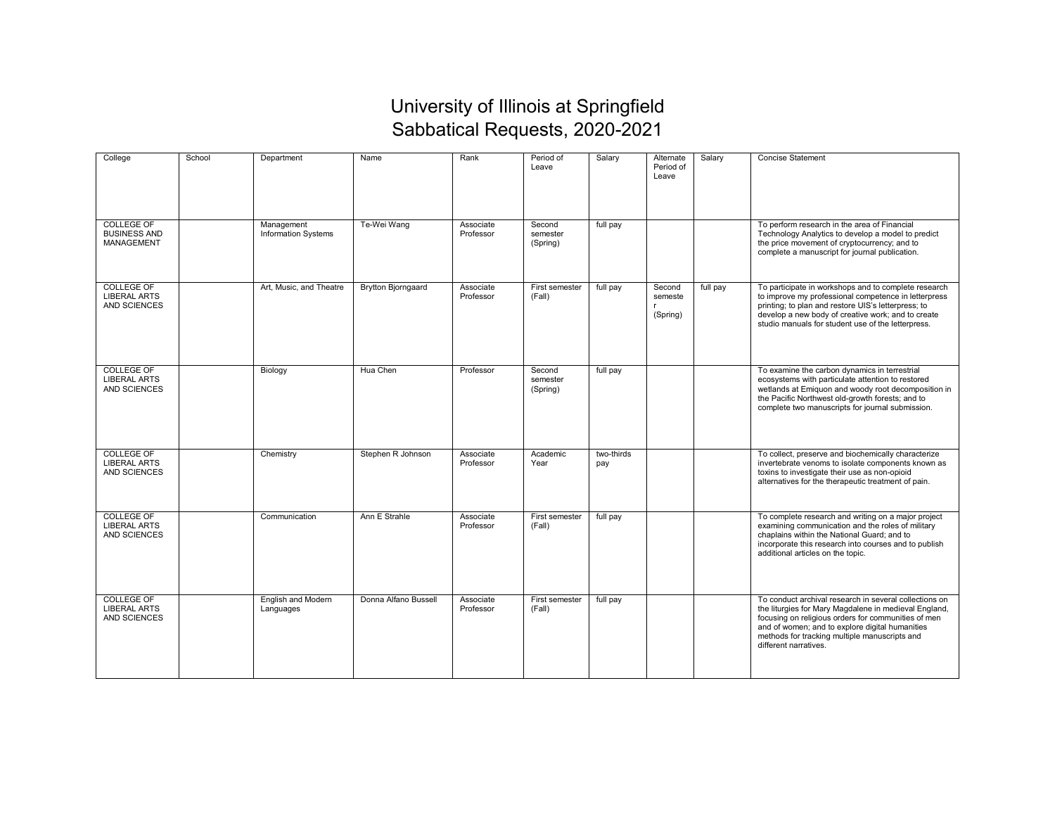## University of Illinois at Springfield Sabbatical Requests, 2020-2021

| College                                                         | School | Department                               | Name                      | Rank                   | Period of<br>Leave             | Salary            | Alternate<br>Period of<br>Leave | Salary   | <b>Concise Statement</b>                                                                                                                                                                                                                                                                            |
|-----------------------------------------------------------------|--------|------------------------------------------|---------------------------|------------------------|--------------------------------|-------------------|---------------------------------|----------|-----------------------------------------------------------------------------------------------------------------------------------------------------------------------------------------------------------------------------------------------------------------------------------------------------|
| <b>COLLEGE OF</b><br><b>BUSINESS AND</b><br><b>MANAGEMENT</b>   |        | Management<br><b>Information Systems</b> | Te-Wei Wang               | Associate<br>Professor | Second<br>semester<br>(Spring) | full pay          |                                 |          | To perform research in the area of Financial<br>Technology Analytics to develop a model to predict<br>the price movement of cryptocurrency; and to<br>complete a manuscript for journal publication.                                                                                                |
| COLLEGE OF<br><b>LIBERAL ARTS</b><br><b>AND SCIENCES</b>        |        | Art, Music, and Theatre                  | <b>Brytton Bjorngaard</b> | Associate<br>Professor | First semester<br>(Fall)       | full pay          | Second<br>semeste<br>(Spring)   | full pay | To participate in workshops and to complete research<br>to improve my professional competence in letterpress<br>printing; to plan and restore UIS's letterpress; to<br>develop a new body of creative work; and to create<br>studio manuals for student use of the letterpress.                     |
| <b>COLLEGE OF</b><br><b>LIBERAL ARTS</b><br><b>AND SCIENCES</b> |        | Biology                                  | Hua Chen                  | Professor              | Second<br>semester<br>(Spring) | full pay          |                                 |          | To examine the carbon dynamics in terrestrial<br>ecosystems with particulate attention to restored<br>wetlands at Emiguon and woody root decomposition in<br>the Pacific Northwest old-growth forests; and to<br>complete two manuscripts for journal submission.                                   |
| <b>COLLEGE OF</b><br><b>LIBERAL ARTS</b><br>AND SCIENCES        |        | Chemistry                                | Stephen R Johnson         | Associate<br>Professor | Academic<br>Year               | two-thirds<br>pay |                                 |          | To collect, preserve and biochemically characterize<br>invertebrate venoms to isolate components known as<br>toxins to investigate their use as non-opioid<br>alternatives for the therapeutic treatment of pain.                                                                                   |
| <b>COLLEGE OF</b><br><b>LIBERAL ARTS</b><br><b>AND SCIENCES</b> |        | Communication                            | Ann E Strahle             | Associate<br>Professor | First semester<br>(Fall)       | full pay          |                                 |          | To complete research and writing on a major project<br>examining communication and the roles of military<br>chaplains within the National Guard; and to<br>incorporate this research into courses and to publish<br>additional articles on the topic.                                               |
| <b>COLLEGE OF</b><br><b>LIBERAL ARTS</b><br>AND SCIENCES        |        | English and Modern<br>Languages          | Donna Alfano Bussell      | Associate<br>Professor | First semester<br>(Fall)       | full pay          |                                 |          | To conduct archival research in several collections on<br>the liturgies for Mary Magdalene in medieval England,<br>focusing on religious orders for communities of men<br>and of women; and to explore digital humanities<br>methods for tracking multiple manuscripts and<br>different narratives. |